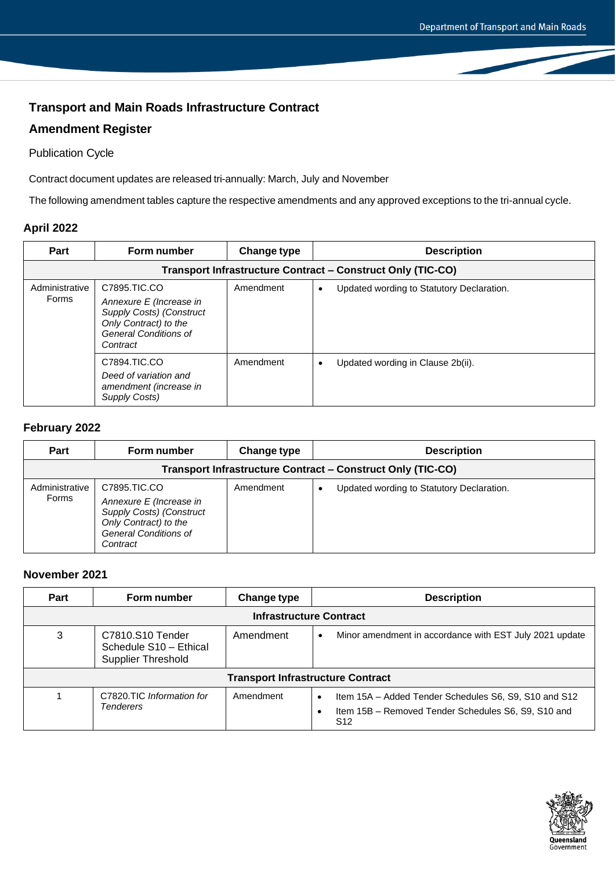## **Transport and Main Roads Infrastructure Contract**

### **Amendment Register**

Publication Cycle

Contract document updates are released tri-annually: March, July and November

The following amendment tables capture the respective amendments and any approved exceptions to the tri-annual cycle.

#### **April 2022**

| Part                    | Form number                                                                                                                              | Change type | <b>Description</b>                        |  |  |  |
|-------------------------|------------------------------------------------------------------------------------------------------------------------------------------|-------------|-------------------------------------------|--|--|--|
|                         | <b>Transport Infrastructure Contract – Construct Only (TIC-CO)</b>                                                                       |             |                                           |  |  |  |
| Administrative<br>Forms | C7895.TIC.CO<br>Annexure E (Increase in<br>Supply Costs) (Construct<br>Only Contract) to the<br><b>General Conditions of</b><br>Contract | Amendment   | Updated wording to Statutory Declaration. |  |  |  |
|                         | C7894.TIC.CO<br>Deed of variation and<br>amendment (increase in<br>Supply Costs)                                                         | Amendment   | Updated wording in Clause 2b(ii).         |  |  |  |

#### **February 2022**

| Part                    | Form number                                                                                                                                     | Change type | <b>Description</b>                        |  |  |  |
|-------------------------|-------------------------------------------------------------------------------------------------------------------------------------------------|-------------|-------------------------------------------|--|--|--|
|                         | <b>Transport Infrastructure Contract – Construct Only (TIC-CO)</b>                                                                              |             |                                           |  |  |  |
| Administrative<br>Forms | C7895.TIC.CO<br>Annexure E (Increase in<br><b>Supply Costs) (Construct</b><br>Only Contract) to the<br><b>General Conditions of</b><br>Contract | Amendment   | Updated wording to Statutory Declaration. |  |  |  |

### **November 2021**

| Part                                     | Form number                                                             | Change type | <b>Description</b>                                                                                                              |  |  |
|------------------------------------------|-------------------------------------------------------------------------|-------------|---------------------------------------------------------------------------------------------------------------------------------|--|--|
|                                          | <b>Infrastructure Contract</b>                                          |             |                                                                                                                                 |  |  |
| 3                                        | C7810.S10 Tender<br>Schedule S10 - Ethical<br><b>Supplier Threshold</b> | Amendment   | Minor amendment in accordance with EST July 2021 update<br>$\bullet$                                                            |  |  |
| <b>Transport Infrastructure Contract</b> |                                                                         |             |                                                                                                                                 |  |  |
|                                          | C7820.TIC Information for<br>Tenderers                                  | Amendment   | Item 15A – Added Tender Schedules S6, S9, S10 and S12<br>Item 15B - Removed Tender Schedules S6, S9, S10 and<br>S <sub>12</sub> |  |  |

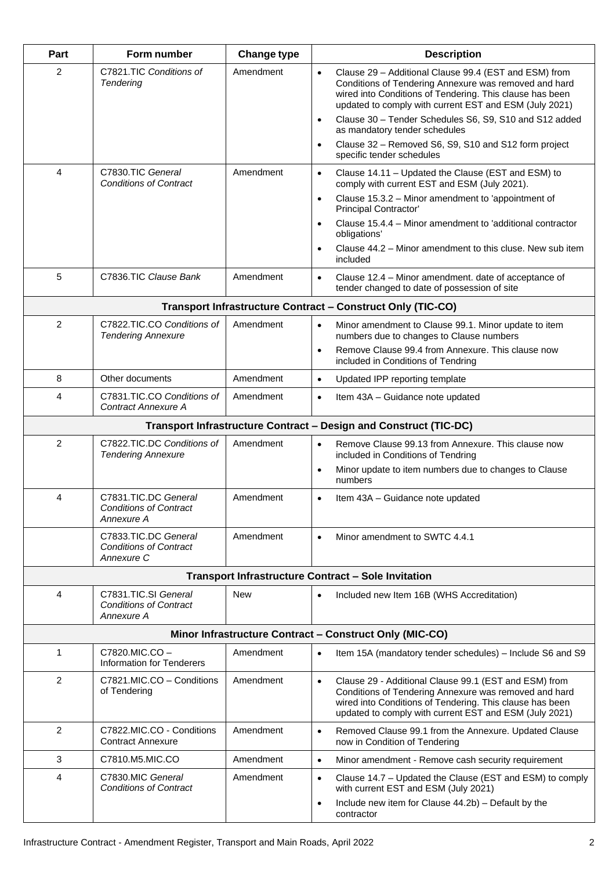| Part           | Form number                                                         | <b>Change type</b> | <b>Description</b>                                                                                                                                                                                                                                                                                                       |
|----------------|---------------------------------------------------------------------|--------------------|--------------------------------------------------------------------------------------------------------------------------------------------------------------------------------------------------------------------------------------------------------------------------------------------------------------------------|
| 2              | C7821.TIC Conditions of<br>Tendering                                | Amendment          | Clause 29 - Additional Clause 99.4 (EST and ESM) from<br>$\bullet$<br>Conditions of Tendering Annexure was removed and hard<br>wired into Conditions of Tendering. This clause has been<br>updated to comply with current EST and ESM (July 2021)<br>Clause 30 - Tender Schedules S6, S9, S10 and S12 added<br>$\bullet$ |
|                |                                                                     |                    | as mandatory tender schedules<br>Clause 32 - Removed S6, S9, S10 and S12 form project<br>$\bullet$<br>specific tender schedules                                                                                                                                                                                          |
| $\overline{4}$ | C7830.TIC General<br><b>Conditions of Contract</b>                  | Amendment          | Clause 14.11 - Updated the Clause (EST and ESM) to<br>$\bullet$<br>comply with current EST and ESM (July 2021).                                                                                                                                                                                                          |
|                |                                                                     |                    | Clause 15.3.2 - Minor amendment to 'appointment of<br>$\bullet$<br>Principal Contractor'                                                                                                                                                                                                                                 |
|                |                                                                     |                    | Clause 15.4.4 - Minor amendment to 'additional contractor<br>$\bullet$<br>obligations'                                                                                                                                                                                                                                   |
|                |                                                                     |                    | Clause 44.2 - Minor amendment to this cluse. New sub item<br>$\bullet$<br>included                                                                                                                                                                                                                                       |
| 5              | C7836.TIC Clause Bank                                               | Amendment          | Clause 12.4 - Minor amendment. date of acceptance of<br>$\bullet$<br>tender changed to date of possession of site                                                                                                                                                                                                        |
|                |                                                                     |                    | Transport Infrastructure Contract - Construct Only (TIC-CO)                                                                                                                                                                                                                                                              |
| $\overline{2}$ | C7822.TIC.CO Conditions of<br><b>Tendering Annexure</b>             | Amendment          | Minor amendment to Clause 99.1. Minor update to item<br>$\bullet$<br>numbers due to changes to Clause numbers                                                                                                                                                                                                            |
|                |                                                                     |                    | Remove Clause 99.4 from Annexure. This clause now<br>$\bullet$<br>included in Conditions of Tendring                                                                                                                                                                                                                     |
| 8              | Other documents                                                     | Amendment          | Updated IPP reporting template<br>$\bullet$                                                                                                                                                                                                                                                                              |
| 4              | C7831.TIC.CO Conditions of<br>Contract Annexure A                   | Amendment          | Item 43A - Guidance note updated<br>$\bullet$                                                                                                                                                                                                                                                                            |
|                |                                                                     |                    | Transport Infrastructure Contract - Design and Construct (TIC-DC)                                                                                                                                                                                                                                                        |
| $\overline{2}$ | C7822.TIC.DC Conditions of<br><b>Tendering Annexure</b>             | Amendment          | Remove Clause 99.13 from Annexure. This clause now<br>$\bullet$<br>included in Conditions of Tendring                                                                                                                                                                                                                    |
|                |                                                                     |                    | Minor update to item numbers due to changes to Clause<br>$\bullet$<br>numbers                                                                                                                                                                                                                                            |
| 4              | C7831.TIC.DC General<br><b>Conditions of Contract</b><br>Annexure A | Amendment          | Item 43A - Guidance note updated<br>$\bullet$                                                                                                                                                                                                                                                                            |
|                | C7833.TIC.DC General<br><b>Conditions of Contract</b><br>Annexure C | Amendment          | Minor amendment to SWTC 4.4.1<br>$\bullet$                                                                                                                                                                                                                                                                               |
|                |                                                                     |                    | <b>Transport Infrastructure Contract - Sole Invitation</b>                                                                                                                                                                                                                                                               |
| $\overline{4}$ | C7831.TIC.SI General<br><b>Conditions of Contract</b><br>Annexure A | <b>New</b>         | Included new Item 16B (WHS Accreditation)                                                                                                                                                                                                                                                                                |
|                |                                                                     |                    | Minor Infrastructure Contract - Construct Only (MIC-CO)                                                                                                                                                                                                                                                                  |
| $\mathbf{1}$   | C7820.MIC.CO -<br>Information for Tenderers                         | Amendment          | Item 15A (mandatory tender schedules) - Include S6 and S9<br>$\bullet$                                                                                                                                                                                                                                                   |
| $\overline{2}$ | C7821.MIC.CO - Conditions<br>of Tendering                           | Amendment          | Clause 29 - Additional Clause 99.1 (EST and ESM) from<br>$\bullet$<br>Conditions of Tendering Annexure was removed and hard<br>wired into Conditions of Tendering. This clause has been<br>updated to comply with current EST and ESM (July 2021)                                                                        |
| 2              | C7822.MIC.CO - Conditions<br><b>Contract Annexure</b>               | Amendment          | Removed Clause 99.1 from the Annexure. Updated Clause<br>$\bullet$<br>now in Condition of Tendering                                                                                                                                                                                                                      |
| 3              | C7810.M5.MIC.CO                                                     | Amendment          | Minor amendment - Remove cash security requirement<br>$\bullet$                                                                                                                                                                                                                                                          |
| $\overline{4}$ | C7830.MIC General<br><b>Conditions of Contract</b>                  | Amendment          | Clause 14.7 - Updated the Clause (EST and ESM) to comply<br>$\bullet$<br>with current EST and ESM (July 2021)                                                                                                                                                                                                            |
|                |                                                                     |                    | Include new item for Clause 44.2b) - Default by the<br>$\bullet$<br>contractor                                                                                                                                                                                                                                           |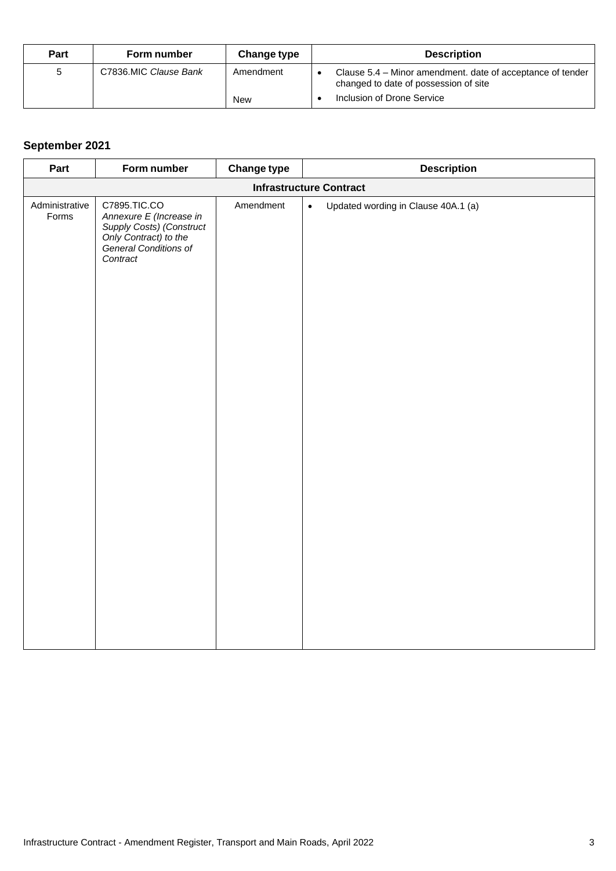| Part | Form number           | Change type | <b>Description</b>                                                                                  |
|------|-----------------------|-------------|-----------------------------------------------------------------------------------------------------|
| 5    | C7836.MIC Clause Bank | Amendment   | Clause 5.4 – Minor amendment. date of acceptance of tender<br>changed to date of possession of site |
|      |                       | <b>New</b>  | Inclusion of Drone Service                                                                          |

# **September 2021**

| Part                           | Form number                                                                                                                       | <b>Change type</b> | <b>Description</b>                               |  |  |
|--------------------------------|-----------------------------------------------------------------------------------------------------------------------------------|--------------------|--------------------------------------------------|--|--|
| <b>Infrastructure Contract</b> |                                                                                                                                   |                    |                                                  |  |  |
| Administrative<br>Forms        | C7895.TIC.CO<br>Annexure E (Increase in<br>Supply Costs) (Construct<br>Only Contract) to the<br>General Conditions of<br>Contract | Amendment          | Updated wording in Clause 40A.1 (a)<br>$\bullet$ |  |  |
|                                |                                                                                                                                   |                    |                                                  |  |  |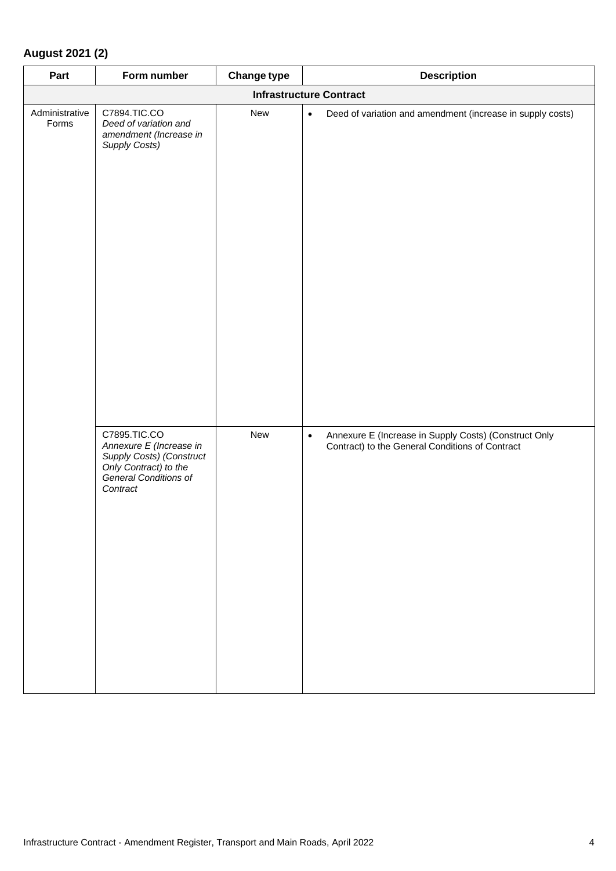## **August 2021 (2)**

| Part                    | Form number                                                                                                                       | <b>Change type</b> | <b>Description</b>                                                                                                    |  |  |
|-------------------------|-----------------------------------------------------------------------------------------------------------------------------------|--------------------|-----------------------------------------------------------------------------------------------------------------------|--|--|
|                         | <b>Infrastructure Contract</b>                                                                                                    |                    |                                                                                                                       |  |  |
| Administrative<br>Forms | C7894.TIC.CO<br>Deed of variation and<br>amendment (Increase in<br>Supply Costs)                                                  | New                | Deed of variation and amendment (increase in supply costs)<br>$\bullet$                                               |  |  |
|                         | C7895.TIC.CO<br>Annexure E (Increase in<br>Supply Costs) (Construct<br>Only Contract) to the<br>General Conditions of<br>Contract | New                | Annexure E (Increase in Supply Costs) (Construct Only<br>$\bullet$<br>Contract) to the General Conditions of Contract |  |  |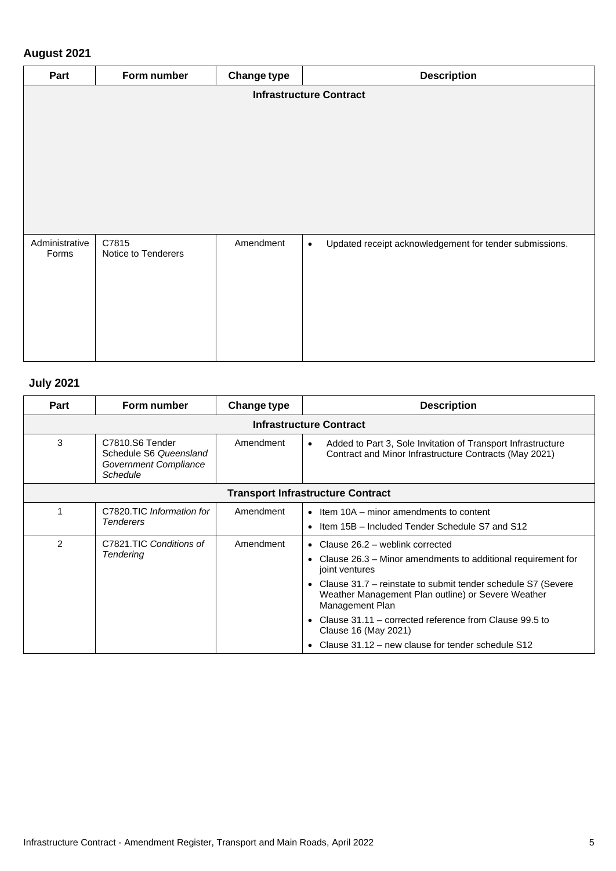## **August 2021**

| Part           | Form number         | <b>Change type</b> | <b>Description</b>                                                   |
|----------------|---------------------|--------------------|----------------------------------------------------------------------|
|                |                     |                    | <b>Infrastructure Contract</b>                                       |
|                |                     |                    |                                                                      |
|                |                     |                    |                                                                      |
|                |                     |                    |                                                                      |
|                |                     |                    |                                                                      |
|                |                     |                    |                                                                      |
|                |                     |                    |                                                                      |
|                |                     |                    |                                                                      |
| Administrative | C7815               | Amendment          |                                                                      |
| Forms          | Notice to Tenderers |                    | Updated receipt acknowledgement for tender submissions.<br>$\bullet$ |
|                |                     |                    |                                                                      |
|                |                     |                    |                                                                      |
|                |                     |                    |                                                                      |
|                |                     |                    |                                                                      |
|                |                     |                    |                                                                      |
|                |                     |                    |                                                                      |

| <b>Part</b> | Form number                                                                    | <b>Change type</b>                       | <b>Description</b>                                                                                                                                                                                                                                                                                                                                                                                                   |
|-------------|--------------------------------------------------------------------------------|------------------------------------------|----------------------------------------------------------------------------------------------------------------------------------------------------------------------------------------------------------------------------------------------------------------------------------------------------------------------------------------------------------------------------------------------------------------------|
|             |                                                                                |                                          | <b>Infrastructure Contract</b>                                                                                                                                                                                                                                                                                                                                                                                       |
| 3           | C7810.S6 Tender<br>Schedule S6 Queensland<br>Government Compliance<br>Schedule | Amendment                                | Added to Part 3, Sole Invitation of Transport Infrastructure<br>$\bullet$<br>Contract and Minor Infrastructure Contracts (May 2021)                                                                                                                                                                                                                                                                                  |
|             |                                                                                | <b>Transport Infrastructure Contract</b> |                                                                                                                                                                                                                                                                                                                                                                                                                      |
|             | C7820.TIC Information for<br>Tenderers                                         | Amendment                                | Item 10A – minor amendments to content<br>$\bullet$<br>Item 15B – Included Tender Schedule S7 and S12<br>$\bullet$                                                                                                                                                                                                                                                                                                   |
| 2           | C7821.TIC Conditions of<br>Tendering                                           | Amendment                                | • Clause $26.2$ – weblink corrected<br>• Clause 26.3 – Minor amendments to additional requirement for<br>joint ventures<br>Clause 31.7 – reinstate to submit tender schedule S7 (Severe<br>$\bullet$<br>Weather Management Plan outline) or Severe Weather<br>Management Plan<br>Clause 31.11 – corrected reference from Clause 99.5 to<br>Clause 16 (May 2021)<br>Clause 31.12 – new clause for tender schedule S12 |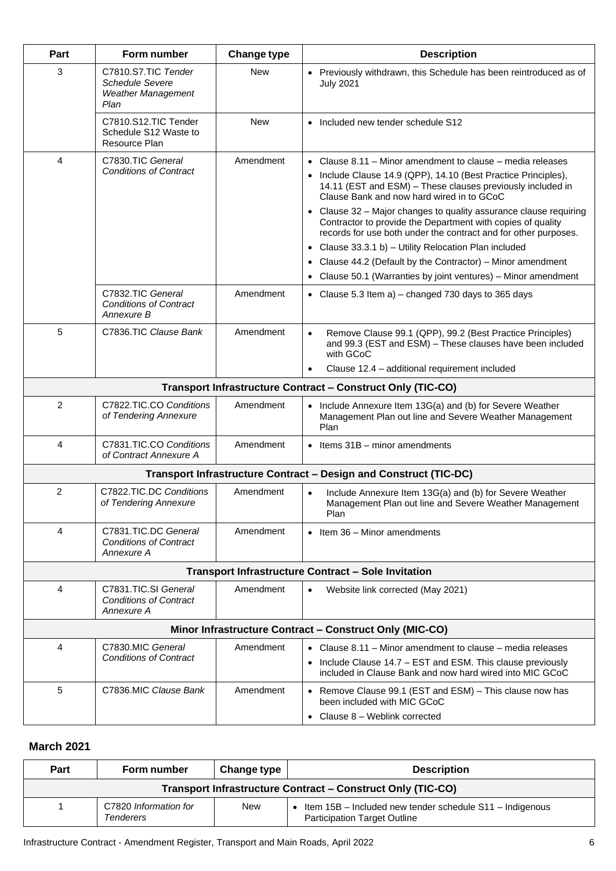| Part           | Form number                                                                        | <b>Change type</b> | <b>Description</b>                                                                                                                                                                                                                                 |
|----------------|------------------------------------------------------------------------------------|--------------------|----------------------------------------------------------------------------------------------------------------------------------------------------------------------------------------------------------------------------------------------------|
| 3              | C7810.S7.TIC Tender<br><b>Schedule Severe</b><br><b>Weather Management</b><br>Plan | <b>New</b>         | • Previously withdrawn, this Schedule has been reintroduced as of<br><b>July 2021</b>                                                                                                                                                              |
|                | C7810.S12.TIC Tender<br>Schedule S12 Waste to<br>Resource Plan                     | <b>New</b>         | • Included new tender schedule S12                                                                                                                                                                                                                 |
| 4              | C7830.TIC General<br><b>Conditions of Contract</b>                                 | Amendment          | • Clause 8.11 – Minor amendment to clause – media releases<br>Include Clause 14.9 (QPP), 14.10 (Best Practice Principles),<br>$\bullet$<br>14.11 (EST and ESM) - These clauses previously included in<br>Clause Bank and now hard wired in to GCoC |
|                |                                                                                    |                    | Clause 32 - Major changes to quality assurance clause requiring<br>Contractor to provide the Department with copies of quality<br>records for use both under the contract and for other purposes.                                                  |
|                |                                                                                    |                    | Clause 33.3.1 b) - Utility Relocation Plan included                                                                                                                                                                                                |
|                |                                                                                    |                    | Clause 44.2 (Default by the Contractor) - Minor amendment<br>$\bullet$                                                                                                                                                                             |
|                |                                                                                    |                    | Clause 50.1 (Warranties by joint ventures) - Minor amendment<br>$\bullet$                                                                                                                                                                          |
|                | C7832.TIC General<br><b>Conditions of Contract</b><br>Annexure B                   | Amendment          | • Clause 5.3 Item a) - changed 730 days to 365 days                                                                                                                                                                                                |
| 5              | C7836.TIC Clause Bank                                                              | Amendment          | Remove Clause 99.1 (QPP), 99.2 (Best Practice Principles)<br>$\bullet$<br>and 99.3 (EST and ESM) - These clauses have been included<br>with GCoC                                                                                                   |
|                |                                                                                    |                    | Clause 12.4 - additional requirement included<br>$\bullet$                                                                                                                                                                                         |
|                |                                                                                    |                    | Transport Infrastructure Contract - Construct Only (TIC-CO)                                                                                                                                                                                        |
| $\overline{2}$ | C7822.TIC.CO Conditions<br>of Tendering Annexure                                   | Amendment          | Include Annexure Item 13G(a) and (b) for Severe Weather<br>$\bullet$<br>Management Plan out line and Severe Weather Management<br>Plan                                                                                                             |
| 4              | C7831.TIC.CO Conditions<br>of Contract Annexure A                                  | Amendment          | $\bullet$ Items 31B - minor amendments                                                                                                                                                                                                             |
|                |                                                                                    |                    | Transport Infrastructure Contract - Design and Construct (TIC-DC)                                                                                                                                                                                  |
| $\overline{2}$ | C7822.TIC.DC Conditions<br>of Tendering Annexure                                   | Amendment          | Include Annexure Item 13G(a) and (b) for Severe Weather<br>$\bullet$<br>Management Plan out line and Severe Weather Management<br><b>Plan</b>                                                                                                      |
| 4              | C7831.TIC.DC General<br><b>Conditions of Contract</b><br>Annexure A                | Amendment          | $\bullet$ Item 36 – Minor amendments                                                                                                                                                                                                               |
|                |                                                                                    |                    | <b>Transport Infrastructure Contract - Sole Invitation</b>                                                                                                                                                                                         |
| 4              | C7831.TIC.SI General<br><b>Conditions of Contract</b><br>Annexure A                | Amendment          | Website link corrected (May 2021)                                                                                                                                                                                                                  |
|                |                                                                                    |                    | Minor Infrastructure Contract - Construct Only (MIC-CO)                                                                                                                                                                                            |
| 4              | C7830.MIC General<br><b>Conditions of Contract</b>                                 | Amendment          | • Clause 8.11 – Minor amendment to clause – media releases<br>• Include Clause 14.7 – EST and ESM. This clause previously<br>included in Clause Bank and now hard wired into MIC GCoC                                                              |
| 5              | C7836.MIC Clause Bank                                                              | Amendment          | • Remove Clause 99.1 (EST and ESM) - This clause now has<br>been included with MIC GCoC<br>Clause 8 - Weblink corrected                                                                                                                            |

#### **March 2021**

| Part                                                        | Form number                               | Change type | <b>Description</b>                                                                              |  |
|-------------------------------------------------------------|-------------------------------------------|-------------|-------------------------------------------------------------------------------------------------|--|
| Transport Infrastructure Contract - Construct Only (TIC-CO) |                                           |             |                                                                                                 |  |
|                                                             | C7820 Information for<br><b>Tenderers</b> | New         | Item 15B - Included new tender schedule S11 - Indigenous<br><b>Participation Target Outline</b> |  |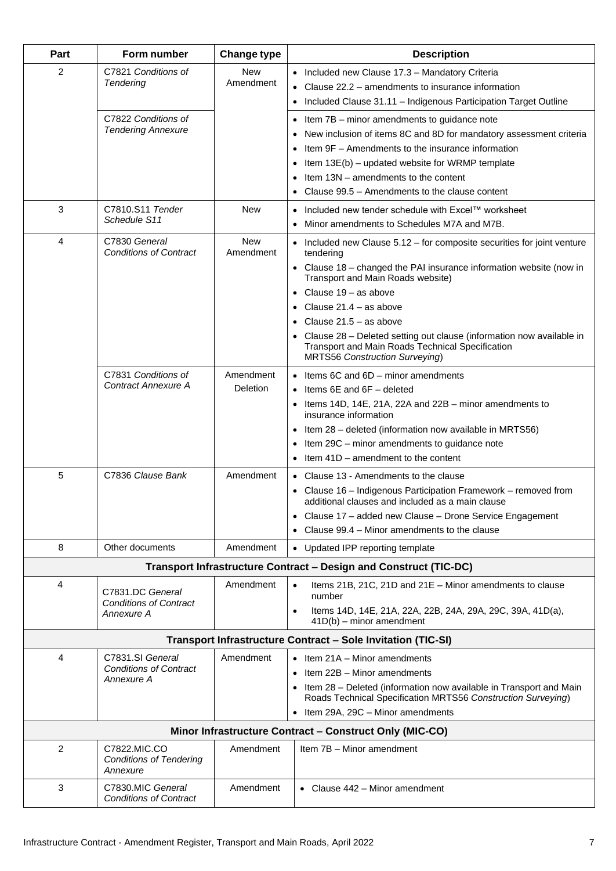| Part | Form number                                                                          | <b>Change type</b>      | <b>Description</b>                                                                                                                                                                                                                                                                                                                                                                                                                                                            |
|------|--------------------------------------------------------------------------------------|-------------------------|-------------------------------------------------------------------------------------------------------------------------------------------------------------------------------------------------------------------------------------------------------------------------------------------------------------------------------------------------------------------------------------------------------------------------------------------------------------------------------|
| 2    | C7821 Conditions of<br>Tendering<br>C7822 Conditions of<br><b>Tendering Annexure</b> | <b>New</b><br>Amendment | • Included new Clause 17.3 - Mandatory Criteria<br>Clause 22.2 – amendments to insurance information<br>Included Clause 31.11 - Indigenous Participation Target Outline<br>$\bullet$<br>Item 7B – minor amendments to guidance note<br>$\bullet$<br>New inclusion of items 8C and 8D for mandatory assessment criteria<br>$\bullet$                                                                                                                                           |
|      |                                                                                      |                         | Item 9F - Amendments to the insurance information<br>Item 13E(b) – updated website for WRMP template<br>$\bullet$<br>Item 13N - amendments to the content<br>$\bullet$<br>Clause 99.5 - Amendments to the clause content                                                                                                                                                                                                                                                      |
| 3    | C7810.S11 Tender<br>Schedule S11                                                     | <b>New</b>              | Included new tender schedule with Excel™ worksheet<br>$\bullet$<br>Minor amendments to Schedules M7A and M7B.                                                                                                                                                                                                                                                                                                                                                                 |
| 4    | C7830 General<br><b>Conditions of Contract</b>                                       | <b>New</b><br>Amendment | Included new Clause 5.12 - for composite securities for joint venture<br>tendering<br>• Clause 18 – changed the PAI insurance information website (now in<br>Transport and Main Roads website)<br>Clause 19 - as above<br>$\bullet$<br>Clause $21.4 - as above$<br>$\bullet$<br>Clause $21.5 - as above$<br>Clause 28 - Deleted setting out clause (information now available in<br>Transport and Main Roads Technical Specification<br><b>MRTS56 Construction Surveying)</b> |
|      | C7831 Conditions of<br>Contract Annexure A                                           | Amendment<br>Deletion   | Items 6C and 6D - minor amendments<br>Items 6E and 6F - deleted<br>Items 14D, 14E, 21A, 22A and 22B - minor amendments to<br>$\bullet$<br>insurance information<br>Item 28 - deleted (information now available in MRTS56)<br>$\bullet$<br>Item 29C - minor amendments to guidance note<br>Item 41D – amendment to the content                                                                                                                                                |
| 5    | C7836 Clause Bank                                                                    | Amendment               | • Clause 13 - Amendments to the clause<br>Clause 16 - Indigenous Participation Framework - removed from<br>additional clauses and included as a main clause<br>Clause 17 - added new Clause - Drone Service Engagement<br>Clause 99.4 – Minor amendments to the clause                                                                                                                                                                                                        |
| 8    | Other documents                                                                      | Amendment               | • Updated IPP reporting template                                                                                                                                                                                                                                                                                                                                                                                                                                              |
|      |                                                                                      |                         | Transport Infrastructure Contract - Design and Construct (TIC-DC)                                                                                                                                                                                                                                                                                                                                                                                                             |
| 4    | C7831.DC General<br><b>Conditions of Contract</b><br>Annexure A                      | Amendment               | Items 21B, 21C, 21D and 21E - Minor amendments to clause<br>$\bullet$<br>number<br>Items 14D, 14E, 21A, 22A, 22B, 24A, 29A, 29C, 39A, 41D(a),<br>$\bullet$<br>$41D(b)$ – minor amendment                                                                                                                                                                                                                                                                                      |
|      |                                                                                      |                         | <b>Transport Infrastructure Contract - Sole Invitation (TIC-SI)</b>                                                                                                                                                                                                                                                                                                                                                                                                           |
| 4    | C7831.SI General<br><b>Conditions of Contract</b><br>Annexure A                      | Amendment               | $\bullet$ Item 21A – Minor amendments<br>Item 22B - Minor amendments<br>$\bullet$<br>Item 28 - Deleted (information now available in Transport and Main<br>Roads Technical Specification MRTS56 Construction Surveying)<br>Item 29A, 29C - Minor amendments                                                                                                                                                                                                                   |
|      |                                                                                      |                         | Minor Infrastructure Contract - Construct Only (MIC-CO)                                                                                                                                                                                                                                                                                                                                                                                                                       |
| 2    | C7822.MIC.CO<br><b>Conditions of Tendering</b><br>Annexure                           | Amendment               | Item 7B - Minor amendment                                                                                                                                                                                                                                                                                                                                                                                                                                                     |
| 3    | C7830.MIC General<br><b>Conditions of Contract</b>                                   | Amendment               | • Clause 442 - Minor amendment                                                                                                                                                                                                                                                                                                                                                                                                                                                |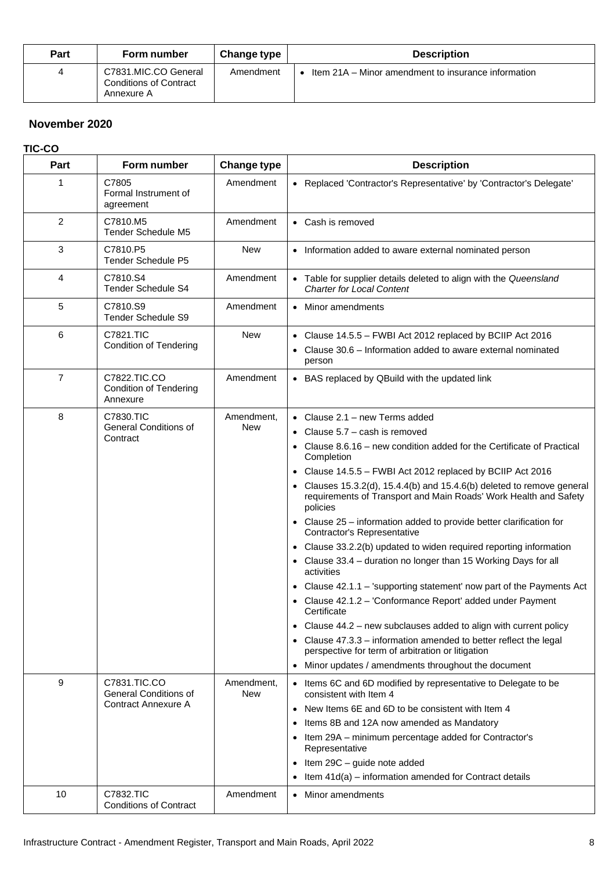| Part | Form number                                                         | Change type | <b>Description</b>                                  |
|------|---------------------------------------------------------------------|-------------|-----------------------------------------------------|
| 4    | C7831.MIC.CO General<br><b>Conditions of Contract</b><br>Annexure A | Amendment   | Item 21A – Minor amendment to insurance information |

#### **November 2020**

#### **TIC-CO**

| Part           | Form number                                               | <b>Change type</b>       | <b>Description</b>                                                                                                                                          |
|----------------|-----------------------------------------------------------|--------------------------|-------------------------------------------------------------------------------------------------------------------------------------------------------------|
| 1              | C7805<br>Formal Instrument of<br>agreement                | Amendment                | • Replaced 'Contractor's Representative' by 'Contractor's Delegate'                                                                                         |
| $\overline{2}$ | C7810.M5<br><b>Tender Schedule M5</b>                     | Amendment                | • Cash is removed                                                                                                                                           |
| 3              | C7810.P5<br>Tender Schedule P5                            | <b>New</b>               | Information added to aware external nominated person<br>$\bullet$                                                                                           |
| 4              | C7810.S4<br><b>Tender Schedule S4</b>                     | Amendment                | Table for supplier details deleted to align with the Queensland<br>$\bullet$<br><b>Charter for Local Content</b>                                            |
| 5              | C7810.S9<br>Tender Schedule S9                            | Amendment                | • Minor amendments                                                                                                                                          |
| 6              | C7821.TIC<br><b>Condition of Tendering</b>                | <b>New</b>               | Clause 14.5.5 - FWBI Act 2012 replaced by BCIIP Act 2016<br>$\bullet$<br>Clause 30.6 – Information added to aware external nominated<br>$\bullet$<br>person |
| $\overline{7}$ | C7822.TIC.CO<br><b>Condition of Tendering</b><br>Annexure | Amendment                | • BAS replaced by QBuild with the updated link                                                                                                              |
| 8              | C7830.TIC                                                 | Amendment,               | Clause 2.1 - new Terms added<br>$\bullet$                                                                                                                   |
|                | General Conditions of<br>Contract                         | <b>New</b>               | Clause 5.7 – cash is removed<br>$\bullet$                                                                                                                   |
|                |                                                           |                          | Clause 8.6.16 – new condition added for the Certificate of Practical<br>$\bullet$<br>Completion                                                             |
|                |                                                           |                          | Clause 14.5.5 - FWBI Act 2012 replaced by BCIIP Act 2016<br>$\bullet$                                                                                       |
|                |                                                           |                          | Clauses 15.3.2(d), 15.4.4(b) and 15.4.6(b) deleted to remove general<br>requirements of Transport and Main Roads' Work Health and Safety<br>policies        |
|                |                                                           |                          | Clause 25 - information added to provide better clarification for<br>$\bullet$<br>Contractor's Representative                                               |
|                |                                                           |                          | Clause 33.2.2(b) updated to widen required reporting information<br>$\bullet$                                                                               |
|                |                                                           |                          | Clause 33.4 - duration no longer than 15 Working Days for all<br>activities                                                                                 |
|                |                                                           |                          | Clause 42.1.1 - 'supporting statement' now part of the Payments Act                                                                                         |
|                |                                                           |                          | Clause 42.1.2 - 'Conformance Report' added under Payment<br>Certificate                                                                                     |
|                |                                                           |                          | Clause 44.2 - new subclauses added to align with current policy<br>$\bullet$                                                                                |
|                |                                                           |                          | Clause 47.3.3 – information amended to better reflect the legal<br>$\bullet$<br>perspective for term of arbitration or litigation                           |
|                |                                                           |                          | Minor updates / amendments throughout the document<br>$\bullet$                                                                                             |
| 9              | C7831.TIC.CO<br>General Conditions of                     | Amendment,<br><b>New</b> | Items 6C and 6D modified by representative to Delegate to be<br>consistent with Item 4                                                                      |
|                | Contract Annexure A                                       |                          | New Items 6E and 6D to be consistent with Item 4<br>$\bullet$                                                                                               |
|                |                                                           |                          | Items 8B and 12A now amended as Mandatory<br>$\bullet$                                                                                                      |
|                |                                                           |                          | Item 29A - minimum percentage added for Contractor's<br>$\bullet$<br>Representative                                                                         |
|                |                                                           |                          | Item 29C - guide note added<br>$\bullet$                                                                                                                    |
|                |                                                           |                          | Item 41d(a) - information amended for Contract details<br>$\bullet$                                                                                         |
| 10             | C7832.TIC<br><b>Conditions of Contract</b>                | Amendment                | • Minor amendments                                                                                                                                          |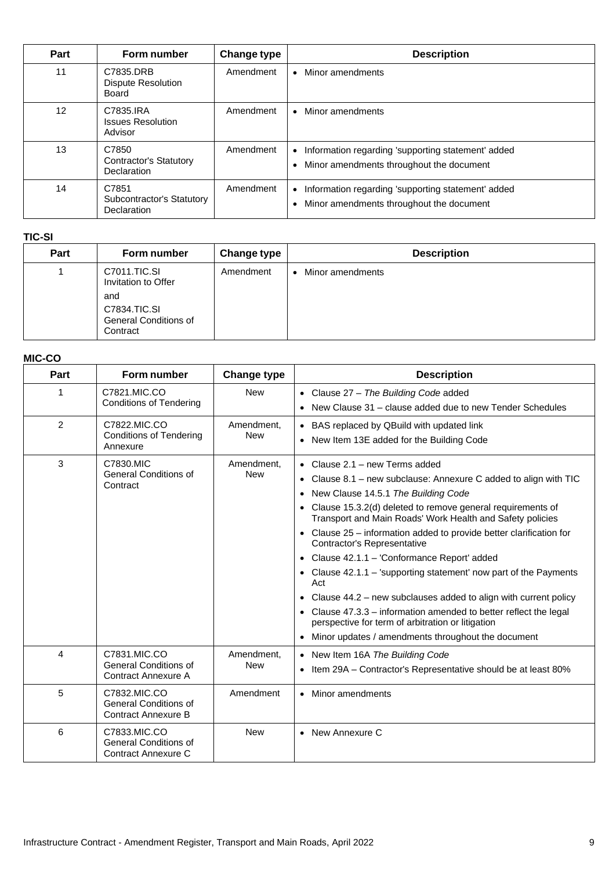| Part | Form number                                            | Change type | <b>Description</b>                                                                                                       |
|------|--------------------------------------------------------|-------------|--------------------------------------------------------------------------------------------------------------------------|
| 11   | C7835.DRB<br><b>Dispute Resolution</b><br><b>Board</b> | Amendment   | Minor amendments<br>$\bullet$                                                                                            |
| 12   | C7835.IRA<br><b>Issues Resolution</b><br>Advisor       | Amendment   | Minor amendments                                                                                                         |
| 13   | C7850<br><b>Contractor's Statutory</b><br>Declaration  | Amendment   | Information regarding 'supporting statement' added<br>$\bullet$<br>Minor amendments throughout the document<br>$\bullet$ |
| 14   | C7851<br>Subcontractor's Statutory<br>Declaration      | Amendment   | Information regarding 'supporting statement' added<br>$\bullet$<br>Minor amendments throughout the document<br>$\bullet$ |

#### **TIC-SI**

| Part | Form number                                                                                            | Change type | <b>Description</b>            |
|------|--------------------------------------------------------------------------------------------------------|-------------|-------------------------------|
|      | C7011.TIC.SI<br>Invitation to Offer<br>and<br>C7834.TIC.SI<br><b>General Conditions of</b><br>Contract | Amendment   | Minor amendments<br>$\bullet$ |

#### **MIC-CO**

| Part           | Form number                                                         | <b>Change type</b>       | <b>Description</b>                                                                                                                                                                                                                                                                                                                                                                                                                                                                                                                                                                                                                                                                                                                                                         |
|----------------|---------------------------------------------------------------------|--------------------------|----------------------------------------------------------------------------------------------------------------------------------------------------------------------------------------------------------------------------------------------------------------------------------------------------------------------------------------------------------------------------------------------------------------------------------------------------------------------------------------------------------------------------------------------------------------------------------------------------------------------------------------------------------------------------------------------------------------------------------------------------------------------------|
| 1              | C7821.MIC.CO<br><b>Conditions of Tendering</b>                      | <b>New</b>               | • Clause 27 - The Building Code added<br>New Clause 31 – clause added due to new Tender Schedules<br>$\bullet$                                                                                                                                                                                                                                                                                                                                                                                                                                                                                                                                                                                                                                                             |
| $\overline{2}$ | C7822, MIC.CO<br><b>Conditions of Tendering</b><br>Annexure         | Amendment,<br><b>New</b> | • BAS replaced by QBuild with updated link<br>New Item 13E added for the Building Code<br>$\bullet$                                                                                                                                                                                                                                                                                                                                                                                                                                                                                                                                                                                                                                                                        |
| 3              | C7830.MIC<br><b>General Conditions of</b><br>Contract               | Amendment,<br><b>New</b> | • Clause $2.1 - new Terms added$<br>• Clause $8.1$ – new subclause: Annexure C added to align with TIC<br>New Clause 14.5.1 The Building Code<br>Clause 15.3.2(d) deleted to remove general requirements of<br>Transport and Main Roads' Work Health and Safety policies<br>• Clause 25 - information added to provide better clarification for<br>Contractor's Representative<br>• Clause 42.1.1 - 'Conformance Report' added<br>• Clause 42.1.1 - 'supporting statement' now part of the Payments<br>Act<br>Clause 44.2 - new subclauses added to align with current policy<br>• Clause 47.3.3 - information amended to better reflect the legal<br>perspective for term of arbitration or litigation<br>Minor updates / amendments throughout the document<br>$\bullet$ |
| 4              | C7831.MIC.CO<br><b>General Conditions of</b><br>Contract Annexure A | Amendment,<br><b>New</b> | • New Item 16A The Building Code<br>Item 29A – Contractor's Representative should be at least 80%<br>$\bullet$                                                                                                                                                                                                                                                                                                                                                                                                                                                                                                                                                                                                                                                             |
| 5              | C7832.MIC.CO<br><b>General Conditions of</b><br>Contract Annexure B | Amendment                | Minor amendments<br>$\bullet$                                                                                                                                                                                                                                                                                                                                                                                                                                                                                                                                                                                                                                                                                                                                              |
| 6              | C7833.MIC.CO<br><b>General Conditions of</b><br>Contract Annexure C | <b>New</b>               | • New Annexure C                                                                                                                                                                                                                                                                                                                                                                                                                                                                                                                                                                                                                                                                                                                                                           |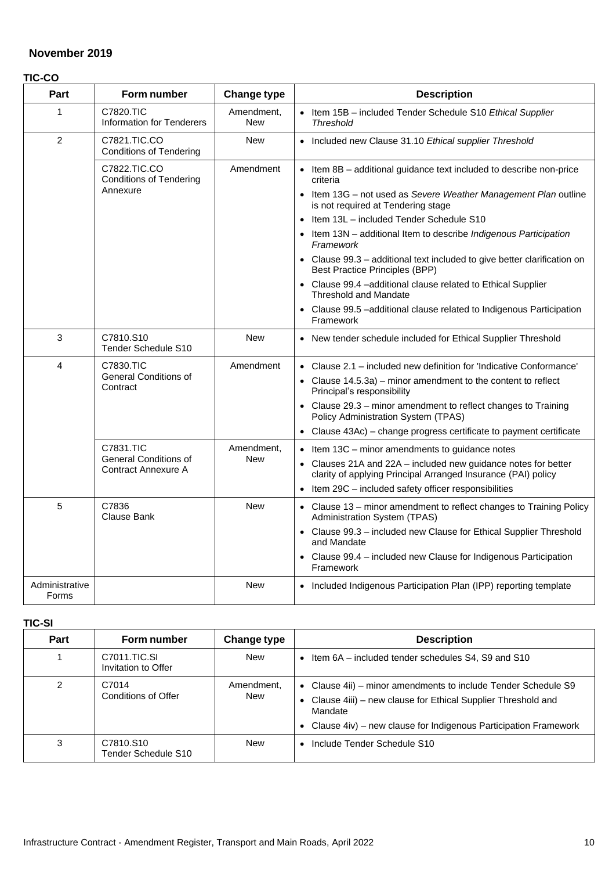### **November 2019**

### **TIC-CO**

| Part                    | Form number                                           | <b>Change type</b>       | <b>Description</b>                                                                                                            |
|-------------------------|-------------------------------------------------------|--------------------------|-------------------------------------------------------------------------------------------------------------------------------|
| 1                       | C7820.TIC<br><b>Information for Tenderers</b>         | Amendment,<br><b>New</b> | • Item 15B - included Tender Schedule S10 Ethical Supplier<br><b>Threshold</b>                                                |
| 2                       | C7821.TIC.CO<br><b>Conditions of Tendering</b>        | <b>New</b>               | • Included new Clause 31.10 Ethical supplier Threshold                                                                        |
|                         | C7822.TIC.CO<br><b>Conditions of Tendering</b>        | Amendment                | • Item 8B - additional guidance text included to describe non-price<br>criteria                                               |
|                         | Annexure                                              |                          | • Item 13G - not used as Severe Weather Management Plan outline<br>is not required at Tendering stage                         |
|                         |                                                       |                          | Item 13L - included Tender Schedule S10                                                                                       |
|                         |                                                       |                          | Item 13N - additional Item to describe Indigenous Participation<br>Framework                                                  |
|                         |                                                       |                          | • Clause 99.3 - additional text included to give better clarification on<br><b>Best Practice Principles (BPP)</b>             |
|                         |                                                       |                          | Clause 99.4 -additional clause related to Ethical Supplier<br><b>Threshold and Mandate</b>                                    |
|                         |                                                       |                          | • Clause 99.5 –additional clause related to Indigenous Participation<br>Framework                                             |
| 3                       | C7810.S10<br>Tender Schedule S10                      | <b>New</b>               | • New tender schedule included for Ethical Supplier Threshold                                                                 |
| 4                       | C7830.TIC<br><b>General Conditions of</b><br>Contract | Amendment                | • Clause 2.1 - included new definition for 'Indicative Conformance'                                                           |
|                         |                                                       |                          | Clause 14.5.3a) – minor amendment to the content to reflect<br>Principal's responsibility                                     |
|                         |                                                       |                          | • Clause 29.3 - minor amendment to reflect changes to Training<br>Policy Administration System (TPAS)                         |
|                         |                                                       |                          | Clause 43Ac) - change progress certificate to payment certificate                                                             |
|                         | C7831.TIC                                             | Amendment,<br><b>New</b> | • Item 13C - minor amendments to guidance notes                                                                               |
|                         | <b>General Conditions of</b><br>Contract Annexure A   |                          | Clauses 21A and 22A - included new guidance notes for better<br>clarity of applying Principal Arranged Insurance (PAI) policy |
|                         |                                                       |                          | • Item 29C - included safety officer responsibilities                                                                         |
| 5                       | C7836<br>Clause Bank                                  | <b>New</b>               | • Clause 13 - minor amendment to reflect changes to Training Policy<br>Administration System (TPAS)                           |
|                         |                                                       |                          | • Clause 99.3 - included new Clause for Ethical Supplier Threshold<br>and Mandate                                             |
|                         |                                                       |                          | Clause 99.4 - included new Clause for Indigenous Participation<br>Framework                                                   |
| Administrative<br>Forms |                                                       | New                      | • Included Indigenous Participation Plan (IPP) reporting template                                                             |

### **TIC-SI**

| .    |                                     |                   |                                                                                                                                                                                                                |
|------|-------------------------------------|-------------------|----------------------------------------------------------------------------------------------------------------------------------------------------------------------------------------------------------------|
| Part | Form number                         | Change type       | <b>Description</b>                                                                                                                                                                                             |
|      | C7011.TIC.SI<br>Invitation to Offer | New               | $\bullet$ Item 6A – included tender schedules S4, S9 and S10                                                                                                                                                   |
| 2    | C7014<br>Conditions of Offer        | Amendment,<br>New | • Clause 4ii) – minor amendments to include Tender Schedule S9<br>• Clause 4iii) – new clause for Ethical Supplier Threshold and<br>Mandate<br>Clause 4iv) – new clause for Indigenous Participation Framework |
| 3    | C7810.S10<br>Tender Schedule S10    | <b>New</b>        | Include Tender Schedule S10<br>$\bullet$                                                                                                                                                                       |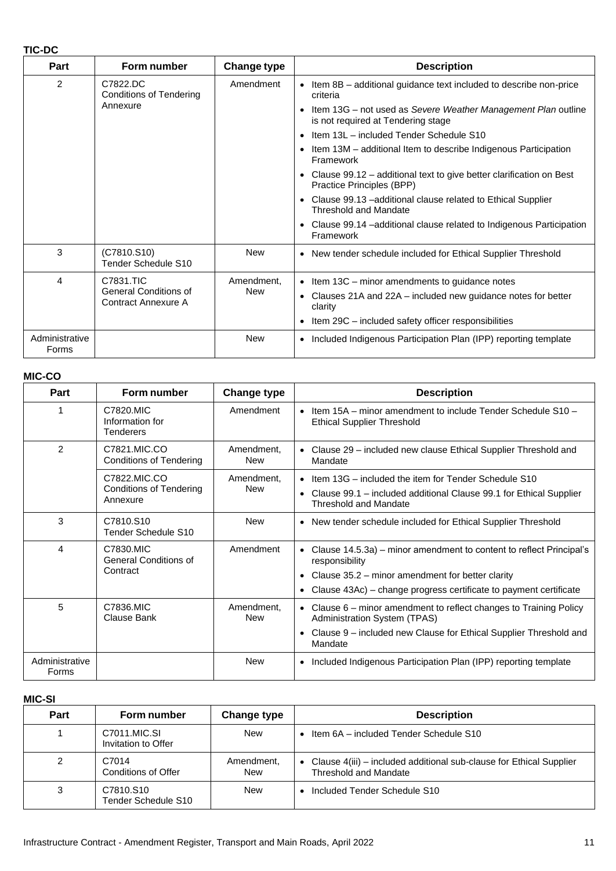#### **TIC-DC**

| Part                    | Form number                                  | Change type | <b>Description</b>                                                                                               |
|-------------------------|----------------------------------------------|-------------|------------------------------------------------------------------------------------------------------------------|
| 2                       | C7822.DC<br>Conditions of Tendering          | Amendment   | • Item 8B - additional guidance text included to describe non-price<br>criteria                                  |
|                         | Annexure                                     |             | Item 13G – not used as Severe Weather Management Plan outline<br>$\bullet$<br>is not required at Tendering stage |
|                         |                                              |             | Item 13L - included Tender Schedule S10<br>$\bullet$                                                             |
|                         |                                              |             | Item 13M – additional Item to describe Indigenous Participation<br>$\bullet$<br>Framework                        |
|                         |                                              |             | Clause 99.12 – additional text to give better clarification on Best<br>$\bullet$<br>Practice Principles (BPP)    |
|                         |                                              |             | • Clause 99.13 --additional clause related to Ethical Supplier<br><b>Threshold and Mandate</b>                   |
|                         |                                              |             | • Clause 99.14 –additional clause related to Indigenous Participation<br>Framework                               |
| 3                       | (C7810.S10)<br>Tender Schedule S10           | New         | • New tender schedule included for Ethical Supplier Threshold                                                    |
| 4                       | C7831.TIC                                    | Amendment.  | $\bullet$ Item 13C – minor amendments to guidance notes                                                          |
|                         | General Conditions of<br>Contract Annexure A | <b>New</b>  | Clauses 21A and 22A – included new guidance notes for better<br>clarity                                          |
|                         |                                              |             | • Item 29C – included safety officer responsibilities                                                            |
| Administrative<br>Forms |                                              | <b>New</b>  | Included Indigenous Participation Plan (IPP) reporting template<br>$\bullet$                                     |

#### **MIC-CO**

| Part                    | Form number                                                | <b>Change type</b>       | <b>Description</b>                                                                                                                                                                                               |
|-------------------------|------------------------------------------------------------|--------------------------|------------------------------------------------------------------------------------------------------------------------------------------------------------------------------------------------------------------|
|                         | C7820.MIC<br>Information for<br><b>Tenderers</b>           | Amendment                | ltem 15A – minor amendment to include Tender Schedule S10 –<br><b>Ethical Supplier Threshold</b>                                                                                                                 |
| 2                       | C7821.MIC.CO<br><b>Conditions of Tendering</b>             | Amendment,<br><b>New</b> | • Clause 29 - included new clause Ethical Supplier Threshold and<br>Mandate                                                                                                                                      |
|                         | C7822.MIC.CO<br><b>Conditions of Tendering</b><br>Annexure | Amendment,<br><b>New</b> | • Item 13G – included the item for Tender Schedule S10<br>• Clause 99.1 – included additional Clause 99.1 for Ethical Supplier<br>Threshold and Mandate                                                          |
| 3                       | C7810.S10<br>Tender Schedule S10                           | <b>New</b>               | • New tender schedule included for Ethical Supplier Threshold                                                                                                                                                    |
| 4                       | C7830.MIC<br><b>General Conditions of</b><br>Contract      | Amendment                | • Clause 14.5.3a) – minor amendment to content to reflect Principal's<br>responsibility<br>Clause 35.2 – minor amendment for better clarity<br>Clause 43Ac) – change progress certificate to payment certificate |
| 5                       | C7836.MIC<br>Clause Bank                                   | Amendment,<br><b>New</b> | • Clause 6 – minor amendment to reflect changes to Training Policy<br>Administration System (TPAS)<br>Clause 9 – included new Clause for Ethical Supplier Threshold and<br>Mandate                               |
| Administrative<br>Forms |                                                            | <b>New</b>               | Included Indigenous Participation Plan (IPP) reporting template<br>٠                                                                                                                                             |

#### **MIC-SI**

| Part | Form number                         | Change type       | <b>Description</b>                                                                                               |
|------|-------------------------------------|-------------------|------------------------------------------------------------------------------------------------------------------|
|      | C7011.MIC.SI<br>Invitation to Offer | New               | Item 6A – included Tender Schedule S10                                                                           |
| 2    | C7014<br>Conditions of Offer        | Amendment,<br>New | Clause 4(iii) – included additional sub-clause for Ethical Supplier<br>$\bullet$<br><b>Threshold and Mandate</b> |
| 3    | C7810.S10<br>Tender Schedule S10    | New               | Included Tender Schedule S10                                                                                     |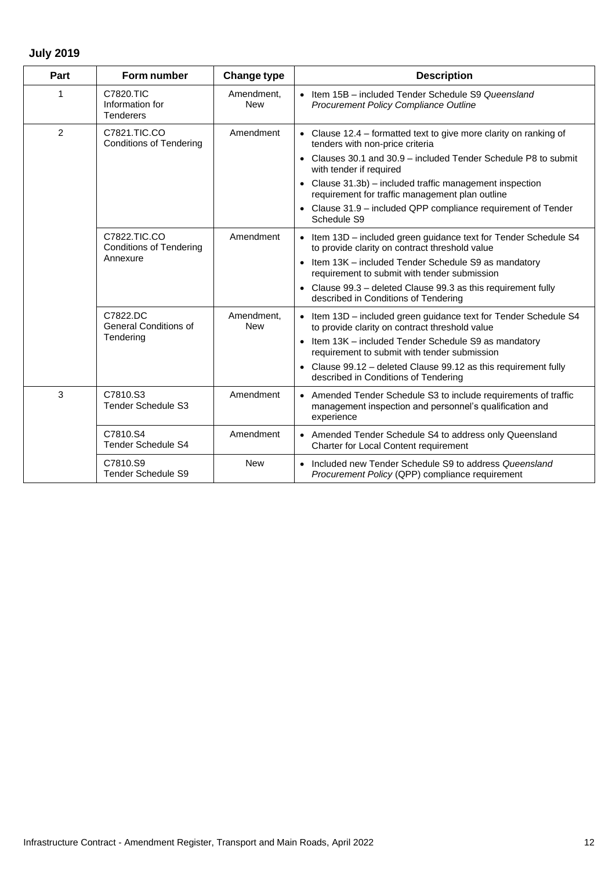| Part           | Form number                                                | Change type              | <b>Description</b>                                                                                                                                                      |
|----------------|------------------------------------------------------------|--------------------------|-------------------------------------------------------------------------------------------------------------------------------------------------------------------------|
| 1              | C7820.TIC<br>Information for<br><b>Tenderers</b>           | Amendment,<br><b>New</b> | • Item 15B - included Tender Schedule S9 Queensland<br>Procurement Policy Compliance Outline                                                                            |
| $\overline{2}$ | C7821.TIC.CO<br><b>Conditions of Tendering</b>             | Amendment                | • Clause 12.4 - formatted text to give more clarity on ranking of<br>tenders with non-price criteria<br>• Clauses 30.1 and 30.9 – included Tender Schedule P8 to submit |
|                |                                                            |                          | with tender if required<br>• Clause 31.3b) – included traffic management inspection<br>requirement for traffic management plan outline                                  |
|                |                                                            |                          | • Clause 31.9 - included QPP compliance requirement of Tender<br>Schedule S9                                                                                            |
|                | C7822.TIC.CO<br><b>Conditions of Tendering</b><br>Annexure | Amendment                | • Item 13D - included green guidance text for Tender Schedule S4<br>to provide clarity on contract threshold value                                                      |
|                |                                                            |                          | • Item 13K - included Tender Schedule S9 as mandatory<br>requirement to submit with tender submission                                                                   |
|                |                                                            |                          | • Clause 99.3 - deleted Clause 99.3 as this requirement fully<br>described in Conditions of Tendering                                                                   |
|                | C7822.DC<br><b>General Conditions of</b><br>Tendering      | Amendment,<br><b>New</b> | • Item 13D - included green guidance text for Tender Schedule S4<br>to provide clarity on contract threshold value                                                      |
|                |                                                            |                          | • Item 13K - included Tender Schedule S9 as mandatory<br>requirement to submit with tender submission                                                                   |
|                |                                                            |                          | • Clause 99.12 – deleted Clause 99.12 as this requirement fully<br>described in Conditions of Tendering                                                                 |
| 3              | C7810.S3<br><b>Tender Schedule S3</b>                      | Amendment                | • Amended Tender Schedule S3 to include requirements of traffic<br>management inspection and personnel's qualification and<br>experience                                |
|                | C7810.S4<br>Tender Schedule S4                             | Amendment                | • Amended Tender Schedule S4 to address only Queensland<br>Charter for Local Content requirement                                                                        |
|                | C7810.S9<br>Tender Schedule S9                             | <b>New</b>               | Included new Tender Schedule S9 to address Queensland<br>$\bullet$<br>Procurement Policy (QPP) compliance requirement                                                   |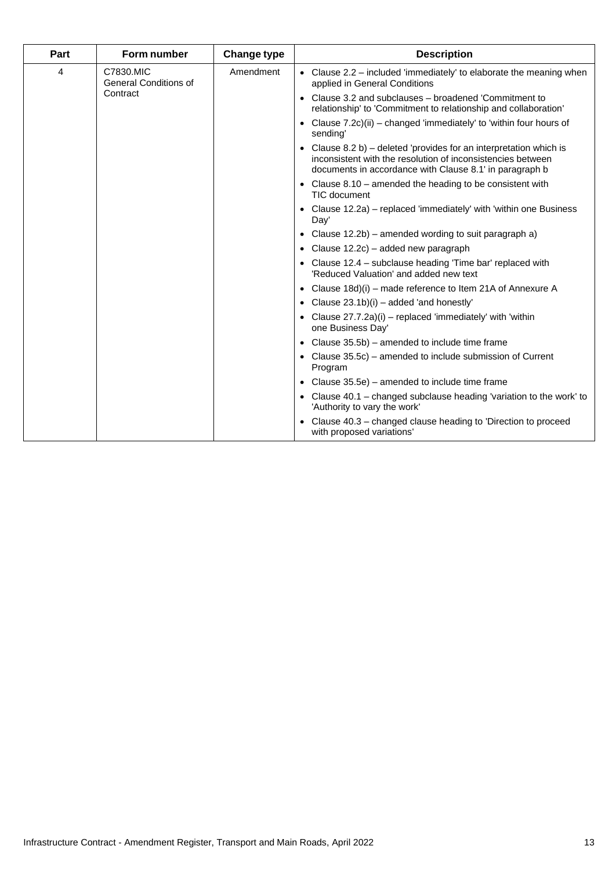| Part | Form number                               | Change type | <b>Description</b>                                                                                                                                                                           |
|------|-------------------------------------------|-------------|----------------------------------------------------------------------------------------------------------------------------------------------------------------------------------------------|
| 4    | C7830.MIC<br><b>General Conditions of</b> | Amendment   | • Clause 2.2 - included 'immediately' to elaborate the meaning when<br>applied in General Conditions                                                                                         |
|      | Contract                                  |             | • Clause 3.2 and subclauses - broadened 'Commitment to<br>relationship' to 'Commitment to relationship and collaboration'                                                                    |
|      |                                           |             | Clause 7.2c)(ii) – changed 'immediately' to 'within four hours of<br>sending'                                                                                                                |
|      |                                           |             | • Clause 8.2 b) – deleted 'provides for an interpretation which is<br>inconsistent with the resolution of inconsistencies between<br>documents in accordance with Clause 8.1' in paragraph b |
|      |                                           |             | • Clause 8.10 – amended the heading to be consistent with<br><b>TIC document</b>                                                                                                             |
|      |                                           |             | • Clause 12.2a) – replaced 'immediately' with 'within one Business<br>Day'                                                                                                                   |
|      |                                           |             | Clause 12.2b) – amended wording to suit paragraph a)<br>$\bullet$                                                                                                                            |
|      |                                           |             | Clause 12.2c) - added new paragraph                                                                                                                                                          |
|      |                                           |             | • Clause 12.4 - subclause heading 'Time bar' replaced with<br>'Reduced Valuation' and added new text                                                                                         |
|      |                                           |             | • Clause 18d)(i) – made reference to Item 21A of Annexure A                                                                                                                                  |
|      |                                           |             | Clause 23.1b)(i) - added 'and honestly'<br>$\bullet$                                                                                                                                         |
|      |                                           |             | Clause 27.7.2a)(i) - replaced 'immediately' with 'within<br>$\bullet$<br>one Business Day'                                                                                                   |
|      |                                           |             | Clause 35.5b) – amended to include time frame<br>$\bullet$                                                                                                                                   |
|      |                                           |             | Clause 35.5c) – amended to include submission of Current<br>$\bullet$<br>Program                                                                                                             |
|      |                                           |             | Clause 35.5e) – amended to include time frame                                                                                                                                                |
|      |                                           |             | • Clause 40.1 - changed subclause heading 'variation to the work' to<br>'Authority to vary the work'                                                                                         |
|      |                                           |             | Clause 40.3 – changed clause heading to 'Direction to proceed<br>$\bullet$<br>with proposed variations'                                                                                      |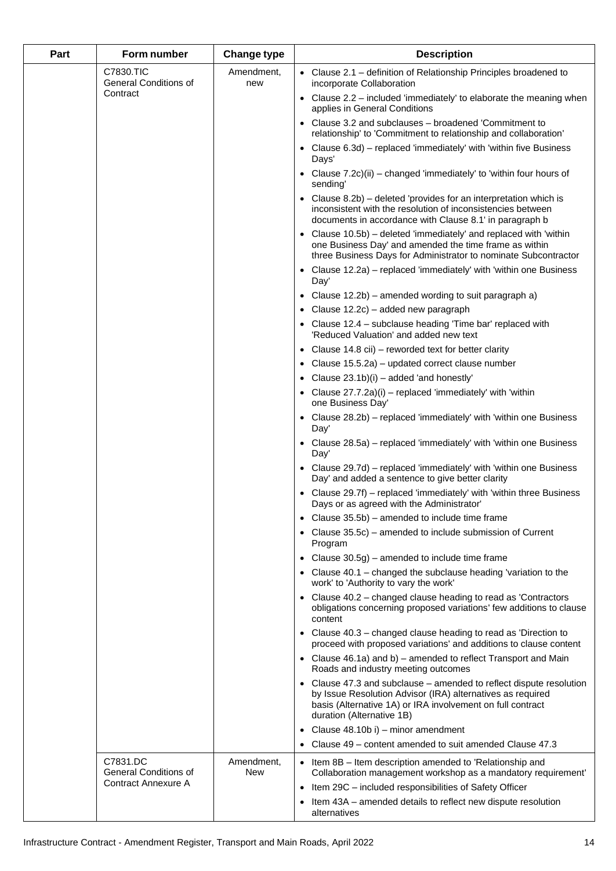| Part | Form number                               | Change type       | <b>Description</b>                                                                                                                                                                                                         |
|------|-------------------------------------------|-------------------|----------------------------------------------------------------------------------------------------------------------------------------------------------------------------------------------------------------------------|
|      | C7830.TIC<br><b>General Conditions of</b> | Amendment.<br>new | • Clause 2.1 – definition of Relationship Principles broadened to<br>incorporate Collaboration                                                                                                                             |
|      | Contract                                  |                   | • Clause 2.2 – included 'immediately' to elaborate the meaning when<br>applies in General Conditions                                                                                                                       |
|      |                                           |                   | • Clause 3.2 and subclauses – broadened 'Commitment to<br>relationship' to 'Commitment to relationship and collaboration'                                                                                                  |
|      |                                           |                   | Clause 6.3d) – replaced 'immediately' with 'within five Business<br>Days'                                                                                                                                                  |
|      |                                           |                   | Clause 7.2c)(ii) – changed 'immediately' to 'within four hours of<br>sending                                                                                                                                               |
|      |                                           |                   | Clause 8.2b) – deleted 'provides for an interpretation which is<br>inconsistent with the resolution of inconsistencies between<br>documents in accordance with Clause 8.1' in paragraph b                                  |
|      |                                           |                   | Clause 10.5b) – deleted 'immediately' and replaced with 'within<br>one Business Day' and amended the time frame as within<br>three Business Days for Administrator to nominate Subcontractor                               |
|      |                                           |                   | • Clause 12.2a) – replaced 'immediately' with 'within one Business<br>Day'                                                                                                                                                 |
|      |                                           |                   | Clause 12.2b) – amended wording to suit paragraph a)<br>$\bullet$                                                                                                                                                          |
|      |                                           |                   | Clause 12.2c) - added new paragraph                                                                                                                                                                                        |
|      |                                           |                   | Clause 12.4 – subclause heading 'Time bar' replaced with<br>'Reduced Valuation' and added new text                                                                                                                         |
|      |                                           |                   | Clause 14.8 cii) – reworded text for better clarity<br>$\bullet$                                                                                                                                                           |
|      |                                           |                   | Clause 15.5.2a) – updated correct clause number<br>$\bullet$                                                                                                                                                               |
|      |                                           |                   | Clause 23.1b)(i) – added 'and honestly'                                                                                                                                                                                    |
|      |                                           |                   | • Clause 27.7.2a)(i) – replaced 'immediately' with 'within<br>one Business Day'                                                                                                                                            |
|      |                                           |                   | • Clause 28.2b) - replaced 'immediately' with 'within one Business<br>Day'                                                                                                                                                 |
|      |                                           |                   | • Clause 28.5a) – replaced 'immediately' with 'within one Business<br>Day'                                                                                                                                                 |
|      |                                           |                   | • Clause 29.7d) – replaced 'immediately' with 'within one Business<br>Day' and added a sentence to give better clarity                                                                                                     |
|      |                                           |                   | Clause 29.7f) – replaced 'immediately' with 'within three Business<br>Days or as agreed with the Administrator'                                                                                                            |
|      |                                           |                   | Clause 35.5b) – amended to include time frame<br>$\bullet$                                                                                                                                                                 |
|      |                                           |                   | Clause 35.5c) – amended to include submission of Current<br>Program                                                                                                                                                        |
|      |                                           |                   | Clause 30.5g) – amended to include time frame                                                                                                                                                                              |
|      |                                           |                   | • Clause 40.1 - changed the subclause heading 'variation to the<br>work' to 'Authority to vary the work'                                                                                                                   |
|      |                                           |                   | Clause 40.2 - changed clause heading to read as 'Contractors<br>$\bullet$<br>obligations concerning proposed variations' few additions to clause<br>content                                                                |
|      |                                           |                   | Clause 40.3 - changed clause heading to read as 'Direction to<br>$\bullet$<br>proceed with proposed variations' and additions to clause content                                                                            |
|      |                                           |                   | • Clause 46.1a) and b) – amended to reflect Transport and Main<br>Roads and industry meeting outcomes                                                                                                                      |
|      |                                           |                   | Clause 47.3 and subclause – amended to reflect dispute resolution<br>by Issue Resolution Advisor (IRA) alternatives as required<br>basis (Alternative 1A) or IRA involvement on full contract<br>duration (Alternative 1B) |
|      |                                           |                   | Clause 48.10b i) - minor amendment<br>$\bullet$                                                                                                                                                                            |
|      |                                           |                   | Clause 49 – content amended to suit amended Clause 47.3                                                                                                                                                                    |
|      | C7831.DC<br>General Conditions of         | Amendment,<br>New | • Item 8B - Item description amended to 'Relationship and<br>Collaboration management workshop as a mandatory requirement'                                                                                                 |
|      | Contract Annexure A                       |                   | Item 29C - included responsibilities of Safety Officer<br>$\bullet$                                                                                                                                                        |
|      |                                           |                   | Item 43A – amended details to reflect new dispute resolution<br>$\bullet$                                                                                                                                                  |
|      |                                           |                   | alternatives                                                                                                                                                                                                               |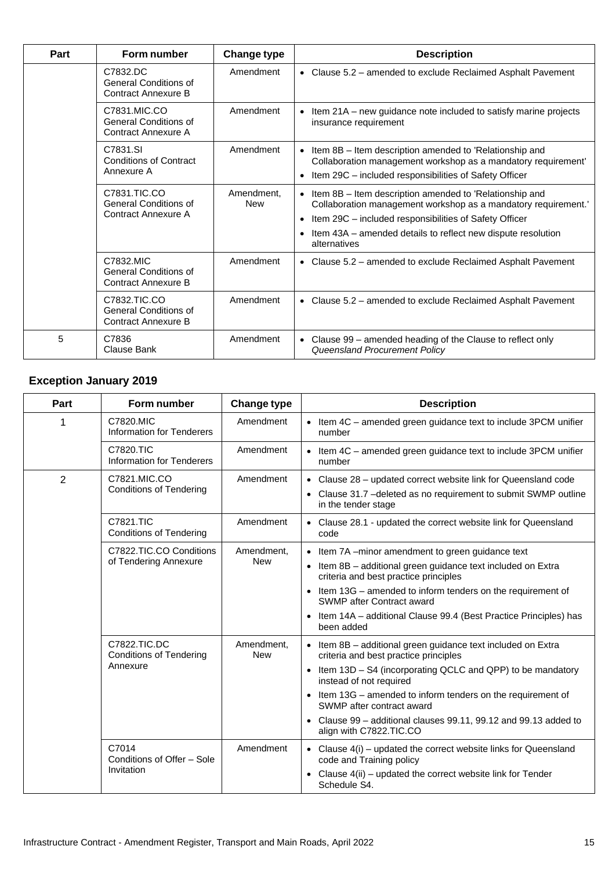| Part | Form number                                                         | <b>Change type</b>       | <b>Description</b>                                                                                                                                                                              |
|------|---------------------------------------------------------------------|--------------------------|-------------------------------------------------------------------------------------------------------------------------------------------------------------------------------------------------|
|      | C7832.DC<br>General Conditions of<br>Contract Annexure B            | Amendment                | • Clause 5.2 - amended to exclude Reclaimed Asphalt Pavement                                                                                                                                    |
|      | C7831.MIC.CO<br>General Conditions of<br>Contract Annexure A        | Amendment                | Item 21A – new guidance note included to satisfy marine projects<br>$\bullet$<br>insurance requirement                                                                                          |
|      | C7831.SI<br><b>Conditions of Contract</b><br>Annexure A             | Amendment                | Item 8B - Item description amended to 'Relationship and<br>$\bullet$<br>Collaboration management workshop as a mandatory requirement'<br>Item 29C – included responsibilities of Safety Officer |
|      | C7831.TIC.CO<br><b>General Conditions of</b>                        | Amendment,<br><b>New</b> | Item 8B - Item description amended to 'Relationship and<br>$\bullet$<br>Collaboration management workshop as a mandatory requirement.'                                                          |
|      | Contract Annexure A                                                 |                          | Item 29C - included responsibilities of Safety Officer                                                                                                                                          |
|      |                                                                     |                          | Item 43A - amended details to reflect new dispute resolution<br>alternatives                                                                                                                    |
|      | C7832.MIC<br><b>General Conditions of</b><br>Contract Annexure B    | Amendment                | Clause 5.2 – amended to exclude Reclaimed Asphalt Pavement<br>$\bullet$                                                                                                                         |
|      | C7832.TIC.CO<br><b>General Conditions of</b><br>Contract Annexure B | Amendment                | • Clause 5.2 - amended to exclude Reclaimed Asphalt Pavement                                                                                                                                    |
| 5    | C7836<br>Clause Bank                                                | Amendment                | • Clause 99 - amended heading of the Clause to reflect only<br>Queensland Procurement Policy                                                                                                    |

# **Exception January 2019**

| Part           | Form number                                                | Change type              | <b>Description</b>                                                                                                                                                                                                                                                                                                                                                                       |
|----------------|------------------------------------------------------------|--------------------------|------------------------------------------------------------------------------------------------------------------------------------------------------------------------------------------------------------------------------------------------------------------------------------------------------------------------------------------------------------------------------------------|
| 1              | C7820.MIC<br>Information for Tenderers                     | Amendment                | • Item 4C - amended green guidance text to include 3PCM unifier<br>number                                                                                                                                                                                                                                                                                                                |
|                | C7820.TIC<br>Information for Tenderers                     | Amendment                | • Item 4C - amended green guidance text to include 3PCM unifier<br>number                                                                                                                                                                                                                                                                                                                |
| $\overline{2}$ | C7821.MIC.CO<br><b>Conditions of Tendering</b>             | Amendment                | • Clause 28 - updated correct website link for Queensland code<br>Clause 31.7 -deleted as no requirement to submit SWMP outline<br>in the tender stage                                                                                                                                                                                                                                   |
|                | C7821.TIC<br><b>Conditions of Tendering</b>                | Amendment                | • Clause 28.1 - updated the correct website link for Queensland<br>code                                                                                                                                                                                                                                                                                                                  |
|                | C7822.TIC.CO Conditions<br>of Tendering Annexure           | Amendment.<br><b>New</b> | Item 7A -minor amendment to green guidance text<br>• Item 8B - additional green guidance text included on Extra<br>criteria and best practice principles<br>Item 13G - amended to inform tenders on the requirement of<br>SWMP after Contract award<br>Item 14A - additional Clause 99.4 (Best Practice Principles) has<br>been added                                                    |
|                | C7822.TIC.DC<br><b>Conditions of Tendering</b><br>Annexure | Amendment.<br><b>New</b> | • Item 8B - additional green guidance text included on Extra<br>criteria and best practice principles<br>Item 13D - S4 (incorporating QCLC and QPP) to be mandatory<br>instead of not required<br>• Item 13G – amended to inform tenders on the requirement of<br>SWMP after contract award<br>Clause 99 - additional clauses 99.11, 99.12 and 99.13 added to<br>align with C7822.TIC.CO |
|                | C7014<br>Conditions of Offer - Sole<br>Invitation          | Amendment                | • Clause $4(i)$ – updated the correct website links for Queensland<br>code and Training policy<br>Clause 4(ii) – updated the correct website link for Tender<br>Schedule S4.                                                                                                                                                                                                             |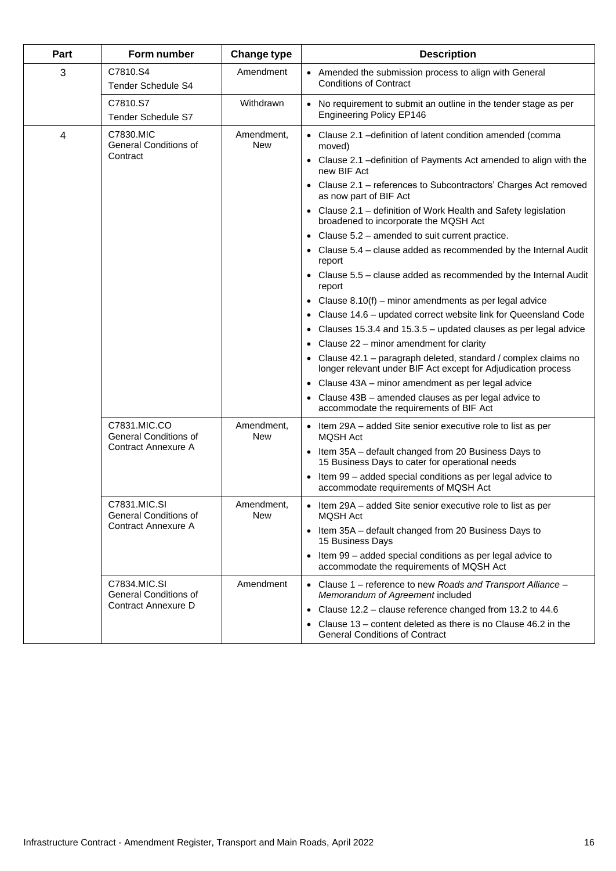| Part | Form number                                                         | <b>Change type</b>       | <b>Description</b>                                                                                                                                                                                                                                                                                                                                                                                                                                                                                                                                                                                                                                                                                                                                                                                                     |
|------|---------------------------------------------------------------------|--------------------------|------------------------------------------------------------------------------------------------------------------------------------------------------------------------------------------------------------------------------------------------------------------------------------------------------------------------------------------------------------------------------------------------------------------------------------------------------------------------------------------------------------------------------------------------------------------------------------------------------------------------------------------------------------------------------------------------------------------------------------------------------------------------------------------------------------------------|
| 3    | C7810.S4<br>Tender Schedule S4                                      | Amendment                | • Amended the submission process to align with General<br><b>Conditions of Contract</b>                                                                                                                                                                                                                                                                                                                                                                                                                                                                                                                                                                                                                                                                                                                                |
|      | C7810.S7<br><b>Tender Schedule S7</b>                               | Withdrawn                | No requirement to submit an outline in the tender stage as per<br><b>Engineering Policy EP146</b>                                                                                                                                                                                                                                                                                                                                                                                                                                                                                                                                                                                                                                                                                                                      |
| 4    | C7830.MIC<br><b>General Conditions of</b><br>Contract               | Amendment,<br><b>New</b> | • Clause 2.1 - definition of latent condition amended (comma<br>moved)<br>Clause 2.1 -definition of Payments Act amended to align with the<br>new BIF Act<br>Clause 2.1 - references to Subcontractors' Charges Act removed<br>as now part of BIF Act<br>Clause 2.1 - definition of Work Health and Safety legislation<br>broadened to incorporate the MQSH Act<br>Clause 5.2 – amended to suit current practice.<br>Clause 5.4 - clause added as recommended by the Internal Audit<br>report<br>Clause 5.5 - clause added as recommended by the Internal Audit<br>report<br>• Clause $8.10(f)$ – minor amendments as per legal advice<br>Clause 14.6 – updated correct website link for Queensland Code<br>Clauses 15.3.4 and 15.3.5 - updated clauses as per legal advice<br>Clause 22 - minor amendment for clarity |
|      |                                                                     |                          | Clause 42.1 - paragraph deleted, standard / complex claims no<br>longer relevant under BIF Act except for Adjudication process<br>Clause 43A - minor amendment as per legal advice<br>Clause 43B - amended clauses as per legal advice to<br>accommodate the requirements of BIF Act                                                                                                                                                                                                                                                                                                                                                                                                                                                                                                                                   |
|      | C7831.MIC.CO<br>General Conditions of<br>Contract Annexure A        | Amendment,<br><b>New</b> | • Item 29A - added Site senior executive role to list as per<br><b>MQSH Act</b><br>Item 35A - default changed from 20 Business Days to<br>15 Business Days to cater for operational needs<br>Item 99 - added special conditions as per legal advice to<br>accommodate requirements of MQSH Act                                                                                                                                                                                                                                                                                                                                                                                                                                                                                                                         |
|      | C7831.MIC.SI<br><b>General Conditions of</b><br>Contract Annexure A | Amendment,<br>New        | Item 29A - added Site senior executive role to list as per<br><b>MQSH Act</b><br>• Item 35A - default changed from 20 Business Days to<br>15 Business Days<br>Item 99 - added special conditions as per legal advice to<br>accommodate the requirements of MQSH Act                                                                                                                                                                                                                                                                                                                                                                                                                                                                                                                                                    |
|      | C7834.MIC.SI<br><b>General Conditions of</b><br>Contract Annexure D | Amendment                | • Clause 1 - reference to new Roads and Transport Alliance -<br>Memorandum of Agreement included<br>• Clause 12.2 - clause reference changed from 13.2 to 44.6<br>Clause 13 - content deleted as there is no Clause 46.2 in the<br><b>General Conditions of Contract</b>                                                                                                                                                                                                                                                                                                                                                                                                                                                                                                                                               |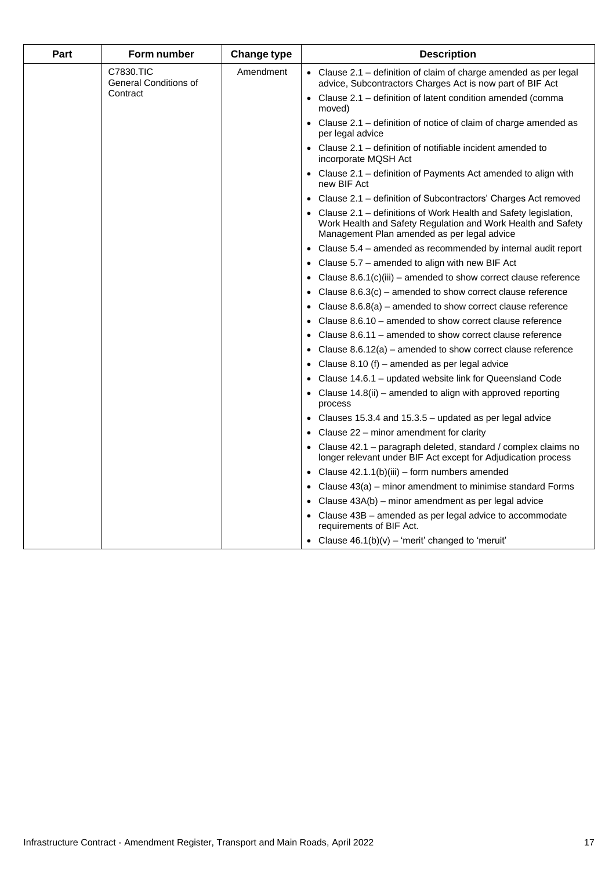| Part | Form number                               | <b>Change type</b> | <b>Description</b>                                                                                                                                                               |
|------|-------------------------------------------|--------------------|----------------------------------------------------------------------------------------------------------------------------------------------------------------------------------|
|      | C7830.TIC<br><b>General Conditions of</b> | Amendment          | • Clause 2.1 - definition of claim of charge amended as per legal<br>advice, Subcontractors Charges Act is now part of BIF Act                                                   |
|      | Contract                                  |                    | Clause 2.1 - definition of latent condition amended (comma<br>moved)                                                                                                             |
|      |                                           |                    | • Clause 2.1 - definition of notice of claim of charge amended as<br>per legal advice                                                                                            |
|      |                                           |                    | • Clause 2.1 - definition of notifiable incident amended to<br>incorporate MQSH Act                                                                                              |
|      |                                           |                    | • Clause 2.1 - definition of Payments Act amended to align with<br>new BIF Act                                                                                                   |
|      |                                           |                    | • Clause 2.1 – definition of Subcontractors' Charges Act removed                                                                                                                 |
|      |                                           |                    | • Clause 2.1 – definitions of Work Health and Safety legislation,<br>Work Health and Safety Regulation and Work Health and Safety<br>Management Plan amended as per legal advice |
|      |                                           |                    | • Clause 5.4 – amended as recommended by internal audit report                                                                                                                   |
|      |                                           |                    | Clause 5.7 - amended to align with new BIF Act                                                                                                                                   |
|      |                                           |                    | Clause $8.6.1(c)(iii)$ – amended to show correct clause reference                                                                                                                |
|      |                                           |                    | Clause $8.6.3(c)$ – amended to show correct clause reference                                                                                                                     |
|      |                                           |                    | Clause $8.6.8(a)$ – amended to show correct clause reference                                                                                                                     |
|      |                                           |                    | Clause 8.6.10 – amended to show correct clause reference                                                                                                                         |
|      |                                           |                    | Clause 8.6.11 – amended to show correct clause reference                                                                                                                         |
|      |                                           |                    | Clause $8.6.12(a)$ – amended to show correct clause reference                                                                                                                    |
|      |                                           |                    | Clause 8.10 (f) - amended as per legal advice                                                                                                                                    |
|      |                                           |                    | • Clause 14.6.1 – updated website link for Queensland Code                                                                                                                       |
|      |                                           |                    | Clause 14.8(ii) – amended to align with approved reporting<br>process                                                                                                            |
|      |                                           |                    | • Clauses 15.3.4 and 15.3.5 – updated as per legal advice                                                                                                                        |
|      |                                           |                    | • Clause 22 - minor amendment for clarity                                                                                                                                        |
|      |                                           |                    | • Clause 42.1 - paragraph deleted, standard / complex claims no<br>longer relevant under BIF Act except for Adjudication process                                                 |
|      |                                           |                    | • Clause $42.1.1(b)(iii) - form numbers amended$                                                                                                                                 |
|      |                                           |                    | • Clause $43(a)$ – minor amendment to minimise standard Forms                                                                                                                    |
|      |                                           |                    | • Clause 43A(b) - minor amendment as per legal advice                                                                                                                            |
|      |                                           |                    | Clause 43B - amended as per legal advice to accommodate<br>requirements of BIF Act.                                                                                              |
|      |                                           |                    | • Clause $46.1(b)(v) - 'merit' changed to 'meruit'$                                                                                                                              |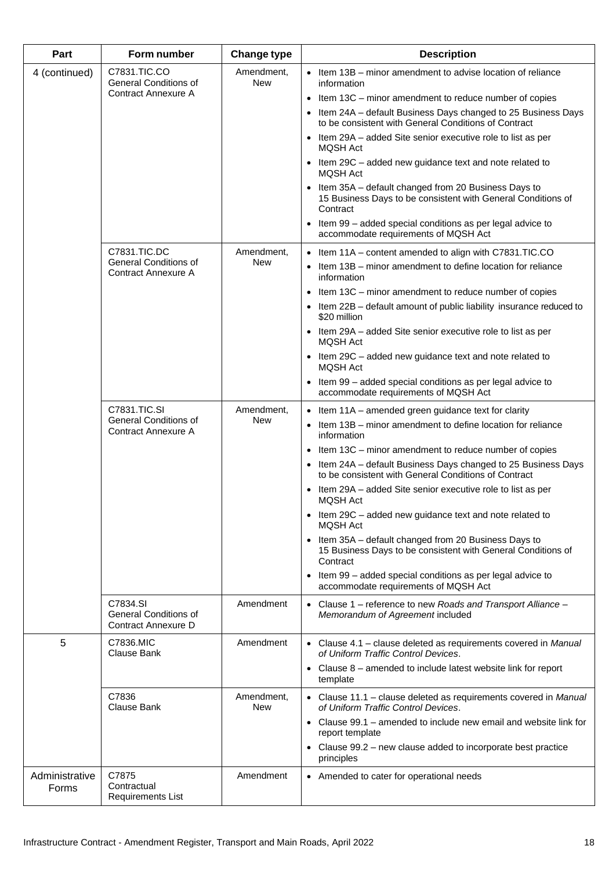| Part                    | Form number                                                                | <b>Change type</b>       | <b>Description</b>                                                                                                              |
|-------------------------|----------------------------------------------------------------------------|--------------------------|---------------------------------------------------------------------------------------------------------------------------------|
| 4 (continued)           | C7831.TIC.CO<br>General Conditions of                                      | Amendment,<br><b>New</b> | • Item 13B – minor amendment to advise location of reliance<br>information                                                      |
|                         | Contract Annexure A                                                        |                          | Item 13C - minor amendment to reduce number of copies<br>$\bullet$                                                              |
|                         |                                                                            |                          | Item 24A – default Business Days changed to 25 Business Days<br>to be consistent with General Conditions of Contract            |
|                         |                                                                            |                          | Item 29A – added Site senior executive role to list as per<br><b>MQSH Act</b>                                                   |
|                         |                                                                            |                          | Item 29C - added new guidance text and note related to<br><b>MQSH Act</b>                                                       |
|                         |                                                                            |                          | Item 35A - default changed from 20 Business Days to<br>15 Business Days to be consistent with General Conditions of<br>Contract |
|                         |                                                                            |                          | Item 99 - added special conditions as per legal advice to<br>accommodate requirements of MQSH Act                               |
|                         | C7831.TIC.DC                                                               | Amendment,               | Item 11A - content amended to align with C7831.TIC.CO                                                                           |
|                         | <b>General Conditions of</b><br><b>Contract Annexure A</b>                 | <b>New</b>               | Item 13B – minor amendment to define location for reliance<br>information                                                       |
|                         |                                                                            |                          | Item 13C - minor amendment to reduce number of copies                                                                           |
|                         |                                                                            |                          | Item 22B - default amount of public liability insurance reduced to<br>\$20 million                                              |
|                         |                                                                            |                          | • Item 29A - added Site senior executive role to list as per<br><b>MQSH Act</b>                                                 |
|                         |                                                                            |                          | • Item 29C - added new guidance text and note related to<br><b>MQSH Act</b>                                                     |
|                         |                                                                            |                          | Item 99 - added special conditions as per legal advice to<br>accommodate requirements of MQSH Act                               |
|                         | C7831.TIC.SI<br><b>General Conditions of</b><br><b>Contract Annexure A</b> | Amendment,<br><b>New</b> | • Item 11A – amended green guidance text for clarity                                                                            |
|                         |                                                                            |                          | Item 13B – minor amendment to define location for reliance<br>information                                                       |
|                         |                                                                            |                          | Item 13C – minor amendment to reduce number of copies                                                                           |
|                         |                                                                            |                          | • Item 24A - default Business Days changed to 25 Business Days<br>to be consistent with General Conditions of Contract          |
|                         |                                                                            |                          | Item 29A - added Site senior executive role to list as per<br><b>MQSH Act</b>                                                   |
|                         |                                                                            |                          | • Item 29C - added new guidance text and note related to<br><b>MQSH Act</b>                                                     |
|                         |                                                                            |                          | Item 35A - default changed from 20 Business Days to<br>15 Business Days to be consistent with General Conditions of<br>Contract |
|                         |                                                                            |                          | Item 99 - added special conditions as per legal advice to<br>accommodate requirements of MQSH Act                               |
|                         | C7834.SI<br><b>General Conditions of</b><br>Contract Annexure D            | Amendment                | • Clause 1 - reference to new Roads and Transport Alliance -<br>Memorandum of Agreement included                                |
| 5                       | C7836.MIC<br><b>Clause Bank</b>                                            | Amendment                | • Clause 4.1 - clause deleted as requirements covered in Manual<br>of Uniform Traffic Control Devices.                          |
|                         |                                                                            |                          | • Clause $8$ – amended to include latest website link for report<br>template                                                    |
|                         | C7836<br><b>Clause Bank</b>                                                | Amendment,<br><b>New</b> | • Clause 11.1 - clause deleted as requirements covered in Manual<br>of Uniform Traffic Control Devices.                         |
|                         |                                                                            |                          | • Clause 99.1 – amended to include new email and website link for<br>report template                                            |
|                         |                                                                            |                          | • Clause 99.2 - new clause added to incorporate best practice<br>principles                                                     |
| Administrative<br>Forms | C7875<br>Contractual<br><b>Requirements List</b>                           | Amendment                | • Amended to cater for operational needs                                                                                        |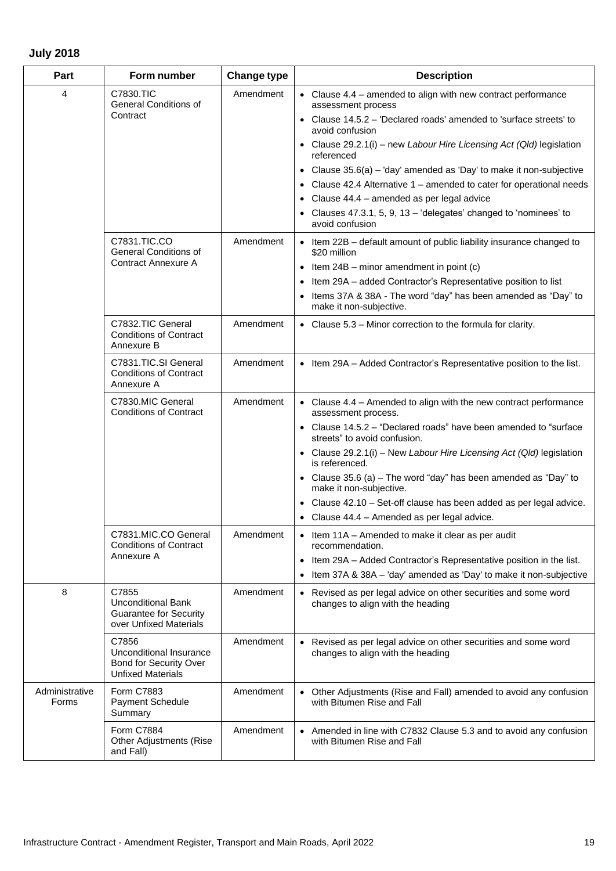| Part                    | Form number                                                                                   | Change type | <b>Description</b>                                                                                                                                                                                                                                                                                                                                                                                                                                                                                          |
|-------------------------|-----------------------------------------------------------------------------------------------|-------------|-------------------------------------------------------------------------------------------------------------------------------------------------------------------------------------------------------------------------------------------------------------------------------------------------------------------------------------------------------------------------------------------------------------------------------------------------------------------------------------------------------------|
| 4                       | C7830.TIC<br>General Conditions of<br>Contract                                                | Amendment   | • Clause 4.4 - amended to align with new contract performance<br>assessment process<br>• Clause 14.5.2 - 'Declared roads' amended to 'surface streets' to<br>avoid confusion<br>• Clause 29.2.1(i) – new Labour Hire Licensing Act (Qld) legislation<br>referenced<br>• Clause $35.6(a)$ – 'day' amended as 'Day' to make it non-subjective<br>• Clause 42.4 Alternative 1 – amended to cater for operational needs<br>Clause 44.4 - amended as per legal advice                                            |
|                         | C7831.TIC.CO<br>General Conditions of<br><b>Contract Annexure A</b>                           | Amendment   | Clauses 47.3.1, 5, 9, 13 - 'delegates' changed to 'nominees' to<br>avoid confusion<br>• Item 22B - default amount of public liability insurance changed to<br>\$20 million<br>• Item $24B$ – minor amendment in point (c)<br>Item 29A - added Contractor's Representative position to list<br>Items 37A & 38A - The word "day" has been amended as "Day" to<br>make it non-subjective.                                                                                                                      |
|                         | C7832.TIC General<br><b>Conditions of Contract</b><br>Annexure B                              | Amendment   | • Clause 5.3 - Minor correction to the formula for clarity.                                                                                                                                                                                                                                                                                                                                                                                                                                                 |
|                         | C7831.TIC.SI General<br><b>Conditions of Contract</b><br>Annexure A                           | Amendment   | • Item 29A - Added Contractor's Representative position to the list.                                                                                                                                                                                                                                                                                                                                                                                                                                        |
|                         | C7830.MIC General<br><b>Conditions of Contract</b>                                            | Amendment   | • Clause 4.4 - Amended to align with the new contract performance<br>assessment process.<br>• Clause 14.5.2 - "Declared roads" have been amended to "surface<br>streets" to avoid confusion.<br>• Clause 29.2.1(i) – New Labour Hire Licensing Act (Qld) legislation<br>is referenced.<br>• Clause 35.6 (a) - The word "day" has been amended as "Day" to<br>make it non-subjective.<br>• Clause 42.10 - Set-off clause has been added as per legal advice.<br>• Clause 44.4 - Amended as per legal advice. |
|                         | C7831.MIC.CO General<br><b>Conditions of Contract</b><br>Annexure A                           | Amendment   | • Item 11A - Amended to make it clear as per audit<br>recommendation.<br>Item 29A - Added Contractor's Representative position in the list.<br>$\bullet$<br>Item 37A & 38A - 'day' amended as 'Day' to make it non-subjective                                                                                                                                                                                                                                                                               |
| 8                       | C7855<br><b>Unconditional Bank</b><br><b>Guarantee for Security</b><br>over Unfixed Materials | Amendment   | • Revised as per legal advice on other securities and some word<br>changes to align with the heading                                                                                                                                                                                                                                                                                                                                                                                                        |
|                         | C7856<br>Unconditional Insurance<br>Bond for Security Over<br><b>Unfixed Materials</b>        | Amendment   | • Revised as per legal advice on other securities and some word<br>changes to align with the heading                                                                                                                                                                                                                                                                                                                                                                                                        |
| Administrative<br>Forms | <b>Form C7883</b><br>Payment Schedule<br>Summary                                              | Amendment   | • Other Adjustments (Rise and Fall) amended to avoid any confusion<br>with Bitumen Rise and Fall                                                                                                                                                                                                                                                                                                                                                                                                            |
|                         | Form C7884<br>Other Adjustments (Rise<br>and Fall)                                            | Amendment   | • Amended in line with C7832 Clause 5.3 and to avoid any confusion<br>with Bitumen Rise and Fall                                                                                                                                                                                                                                                                                                                                                                                                            |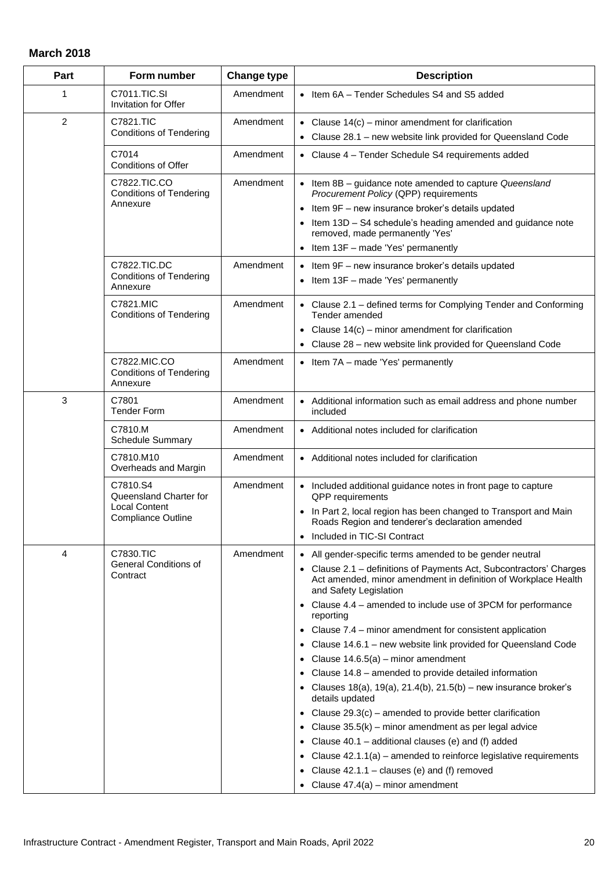### **March 2018**

| Part | Form number                                                | Change type | <b>Description</b>                                                                                                                                                                                                                                                                                      |
|------|------------------------------------------------------------|-------------|---------------------------------------------------------------------------------------------------------------------------------------------------------------------------------------------------------------------------------------------------------------------------------------------------------|
| 1    | C7011.TIC.SI<br>Invitation for Offer                       | Amendment   | • Item 6A – Tender Schedules S4 and S5 added                                                                                                                                                                                                                                                            |
| 2    | C7821.TIC                                                  | Amendment   | • Clause $14(c)$ – minor amendment for clarification                                                                                                                                                                                                                                                    |
|      | <b>Conditions of Tendering</b>                             |             | Clause 28.1 - new website link provided for Queensland Code                                                                                                                                                                                                                                             |
|      | C7014<br><b>Conditions of Offer</b>                        | Amendment   | • Clause 4 - Tender Schedule S4 requirements added                                                                                                                                                                                                                                                      |
|      | C7822.TIC.CO<br><b>Conditions of Tendering</b><br>Annexure | Amendment   | • Item 8B - guidance note amended to capture Queensland<br>Procurement Policy (QPP) requirements<br>Item 9F - new insurance broker's details updated<br>$\bullet$<br>Item 13D - S4 schedule's heading amended and guidance note<br>removed, made permanently 'Yes'<br>Item 13F - made 'Yes' permanently |
|      | C7822.TIC.DC<br><b>Conditions of Tendering</b><br>Annexure | Amendment   | • Item 9F - new insurance broker's details updated<br>• Item 13F - made 'Yes' permanently                                                                                                                                                                                                               |
|      | C7821.MIC<br><b>Conditions of Tendering</b>                | Amendment   | • Clause 2.1 - defined terms for Complying Tender and Conforming<br>Tender amended<br>Clause $14(c)$ – minor amendment for clarification                                                                                                                                                                |
|      |                                                            |             | • Clause 28 - new website link provided for Queensland Code                                                                                                                                                                                                                                             |
|      | C7822.MIC.CO<br><b>Conditions of Tendering</b><br>Annexure | Amendment   | • Item 7A - made 'Yes' permanently                                                                                                                                                                                                                                                                      |
| 3    | C7801<br><b>Tender Form</b>                                | Amendment   | • Additional information such as email address and phone number<br>included                                                                                                                                                                                                                             |
|      | C7810.M<br><b>Schedule Summary</b>                         | Amendment   | • Additional notes included for clarification                                                                                                                                                                                                                                                           |
|      | C7810.M10<br>Overheads and Margin                          | Amendment   | • Additional notes included for clarification                                                                                                                                                                                                                                                           |
|      | C7810.S4<br>Queensland Charter for                         | Amendment   | • Included additional guidance notes in front page to capture<br>QPP requirements                                                                                                                                                                                                                       |
|      | <b>Local Content</b><br><b>Compliance Outline</b>          |             | In Part 2, local region has been changed to Transport and Main<br>Roads Region and tenderer's declaration amended                                                                                                                                                                                       |
|      |                                                            |             | • Included in TIC-SI Contract                                                                                                                                                                                                                                                                           |
| 4    | C7830.TIC                                                  | Amendment   | • All gender-specific terms amended to be gender neutral                                                                                                                                                                                                                                                |
|      | <b>General Conditions of</b><br>Contract                   |             | • Clause 2.1 - definitions of Payments Act, Subcontractors' Charges<br>Act amended, minor amendment in definition of Workplace Health<br>and Safety Legislation                                                                                                                                         |
|      |                                                            |             | • Clause 4.4 - amended to include use of 3PCM for performance<br>reporting                                                                                                                                                                                                                              |
|      |                                                            |             | Clause 7.4 – minor amendment for consistent application<br>$\bullet$                                                                                                                                                                                                                                    |
|      |                                                            |             | Clause 14.6.1 - new website link provided for Queensland Code<br>$\bullet$                                                                                                                                                                                                                              |
|      |                                                            |             | Clause $14.6.5(a)$ – minor amendment<br>٠                                                                                                                                                                                                                                                               |
|      |                                                            |             | Clause 14.8 – amended to provide detailed information<br>٠                                                                                                                                                                                                                                              |
|      |                                                            |             | Clauses 18(a), 19(a), 21.4(b), 21.5(b) – new insurance broker's<br>details updated                                                                                                                                                                                                                      |
|      |                                                            |             | Clause $29.3(c)$ – amended to provide better clarification<br>$\bullet$                                                                                                                                                                                                                                 |
|      |                                                            |             | Clause $35.5(k)$ – minor amendment as per legal advice                                                                                                                                                                                                                                                  |
|      |                                                            |             | Clause $40.1$ – additional clauses (e) and (f) added<br>$\bullet$                                                                                                                                                                                                                                       |
|      |                                                            |             | Clause $42.1.1(a)$ – amended to reinforce legislative requirements<br>$\bullet$                                                                                                                                                                                                                         |
|      |                                                            |             | Clause $42.1.1 -$ clauses (e) and (f) removed                                                                                                                                                                                                                                                           |
|      |                                                            |             | Clause $47.4(a)$ – minor amendment                                                                                                                                                                                                                                                                      |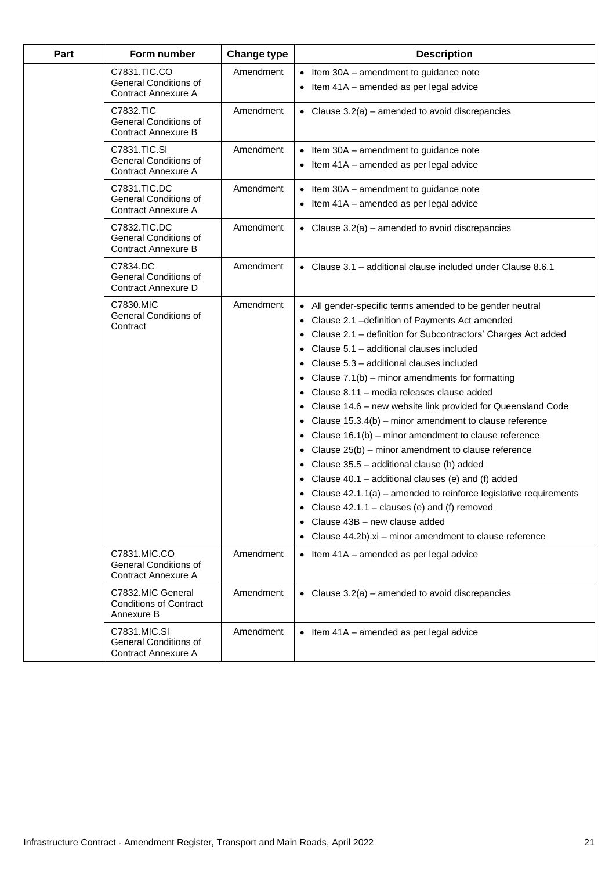| Part | Form number                                                             | <b>Change type</b> | <b>Description</b>                                                                                                                                                                                                                                                                                                                                                                                                                                                                                                                                                                                                                                                                                                                                                                                                                                                                                                                                      |
|------|-------------------------------------------------------------------------|--------------------|---------------------------------------------------------------------------------------------------------------------------------------------------------------------------------------------------------------------------------------------------------------------------------------------------------------------------------------------------------------------------------------------------------------------------------------------------------------------------------------------------------------------------------------------------------------------------------------------------------------------------------------------------------------------------------------------------------------------------------------------------------------------------------------------------------------------------------------------------------------------------------------------------------------------------------------------------------|
|      | C7831.TIC.CO<br>General Conditions of<br>Contract Annexure A            | Amendment          | $\bullet$ Item 30A - amendment to guidance note<br>• Item 41A - amended as per legal advice                                                                                                                                                                                                                                                                                                                                                                                                                                                                                                                                                                                                                                                                                                                                                                                                                                                             |
|      | C7832.TIC<br><b>General Conditions of</b><br><b>Contract Annexure B</b> | Amendment          | • Clause $3.2(a)$ – amended to avoid discrepancies                                                                                                                                                                                                                                                                                                                                                                                                                                                                                                                                                                                                                                                                                                                                                                                                                                                                                                      |
|      | C7831.TIC.SI<br>General Conditions of<br>Contract Annexure A            | Amendment          | • Item 30A - amendment to guidance note<br>• Item 41A - amended as per legal advice                                                                                                                                                                                                                                                                                                                                                                                                                                                                                                                                                                                                                                                                                                                                                                                                                                                                     |
|      | C7831.TIC.DC<br>General Conditions of<br>Contract Annexure A            | Amendment          | • Item 30A - amendment to guidance note<br>Item 41A - amended as per legal advice                                                                                                                                                                                                                                                                                                                                                                                                                                                                                                                                                                                                                                                                                                                                                                                                                                                                       |
|      | C7832.TIC.DC<br>General Conditions of<br><b>Contract Annexure B</b>     | Amendment          | • Clause $3.2(a)$ – amended to avoid discrepancies                                                                                                                                                                                                                                                                                                                                                                                                                                                                                                                                                                                                                                                                                                                                                                                                                                                                                                      |
|      | C7834.DC<br>General Conditions of<br><b>Contract Annexure D</b>         | Amendment          | • Clause 3.1 - additional clause included under Clause 8.6.1                                                                                                                                                                                                                                                                                                                                                                                                                                                                                                                                                                                                                                                                                                                                                                                                                                                                                            |
|      | C7830.MIC<br>General Conditions of<br>Contract                          | Amendment          | • All gender-specific terms amended to be gender neutral<br>• Clause 2.1 -definition of Payments Act amended<br>• Clause 2.1 - definition for Subcontractors' Charges Act added<br>Clause 5.1 - additional clauses included<br>Clause 5.3 - additional clauses included<br>Clause $7.1(b)$ – minor amendments for formatting<br>Clause 8.11 - media releases clause added<br>• Clause 14.6 - new website link provided for Queensland Code<br>• Clause $15.3.4(b)$ – minor amendment to clause reference<br>Clause $16.1(b)$ – minor amendment to clause reference<br>• Clause 25(b) – minor amendment to clause reference<br>• Clause 35.5 - additional clause (h) added<br>Clause $40.1$ – additional clauses (e) and (f) added<br>• Clause $42.1.1(a)$ – amended to reinforce legislative requirements<br>Clause $42.1.1 -$ clauses (e) and (f) removed<br>Clause 43B - new clause added<br>• Clause 44.2b).xi - minor amendment to clause reference |
|      | C7831.MIC.CO<br>General Conditions of<br>Contract Annexure A            | Amendment          | • Item 41A - amended as per legal advice                                                                                                                                                                                                                                                                                                                                                                                                                                                                                                                                                                                                                                                                                                                                                                                                                                                                                                                |
|      | C7832.MIC General<br><b>Conditions of Contract</b><br>Annexure B        | Amendment          | • Clause $3.2(a)$ – amended to avoid discrepancies                                                                                                                                                                                                                                                                                                                                                                                                                                                                                                                                                                                                                                                                                                                                                                                                                                                                                                      |
|      | C7831.MIC.SI<br><b>General Conditions of</b><br>Contract Annexure A     | Amendment          | • Item 41A - amended as per legal advice                                                                                                                                                                                                                                                                                                                                                                                                                                                                                                                                                                                                                                                                                                                                                                                                                                                                                                                |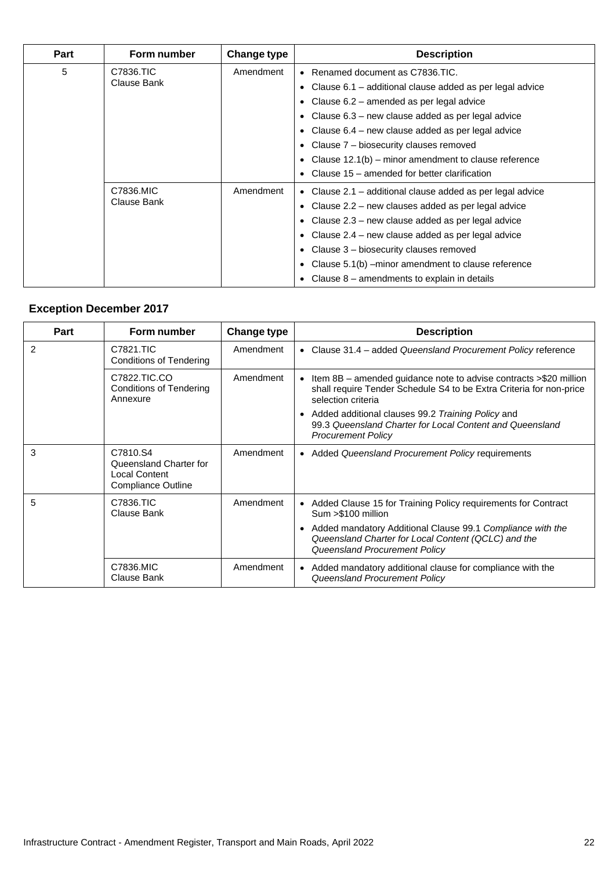| Part | Form number              | Change type | <b>Description</b>                                                                                                                                                                                                                                                                                                                                                                                                                    |
|------|--------------------------|-------------|---------------------------------------------------------------------------------------------------------------------------------------------------------------------------------------------------------------------------------------------------------------------------------------------------------------------------------------------------------------------------------------------------------------------------------------|
| 5    | C7836.TIC<br>Clause Bank | Amendment   | • Renamed document as C7836.TIC.<br>• Clause $6.1$ – additional clause added as per legal advice<br>Clause 6.2 - amended as per legal advice<br>• Clause $6.3$ – new clause added as per legal advice<br>• Clause $6.4$ – new clause added as per legal advice<br>Clause 7 – biosecurity clauses removed<br>$\bullet$<br>• Clause $12.1(b)$ – minor amendment to clause reference<br>• Clause $15$ – amended for better clarification |
|      | C7836.MIC<br>Clause Bank | Amendment   | • Clause $2.1$ – additional clause added as per legal advice<br>• Clause $2.2$ – new clauses added as per legal advice<br>• Clause $2.3$ – new clause added as per legal advice<br>Clause 2.4 – new clause added as per legal advice<br>Clause 3 - biosecurity clauses removed<br>Clause 5.1(b) – minor amendment to clause reference<br>• Clause $8$ – amendments to explain in details                                              |

# **Exception December 2017**

| <b>Part</b> | Form number                                                               | Change type | <b>Description</b>                                                                                                                                                          |
|-------------|---------------------------------------------------------------------------|-------------|-----------------------------------------------------------------------------------------------------------------------------------------------------------------------------|
| 2           | C7821.TIC<br><b>Conditions of Tendering</b>                               | Amendment   | • Clause 31.4 - added Queensland Procurement Policy reference                                                                                                               |
|             | C7822.TIC.CO<br><b>Conditions of Tendering</b><br>Annexure                | Amendment   | Item 8B – amended guidance note to advise contracts >\$20 million<br>$\bullet$<br>shall require Tender Schedule S4 to be Extra Criteria for non-price<br>selection criteria |
|             |                                                                           |             | Added additional clauses 99.2 Training Policy and<br>$\bullet$<br>99.3 Queensland Charter for Local Content and Queensland<br><b>Procurement Policy</b>                     |
| 3           | C7810.S4<br>Queensland Charter for<br>Local Content<br>Compliance Outline | Amendment   | • Added Queensland Procurement Policy requirements                                                                                                                          |
| 5           | C7836.TIC<br>Clause Bank                                                  | Amendment   | • Added Clause 15 for Training Policy requirements for Contract<br>Sum > \$100 million                                                                                      |
|             |                                                                           |             | Added mandatory Additional Clause 99.1 Compliance with the<br>$\bullet$<br>Queensland Charter for Local Content (QCLC) and the<br><b>Queensland Procurement Policy</b>      |
|             | C7836.MIC<br>Clause Bank                                                  | Amendment   | Added mandatory additional clause for compliance with the<br>$\bullet$<br><b>Queensland Procurement Policy</b>                                                              |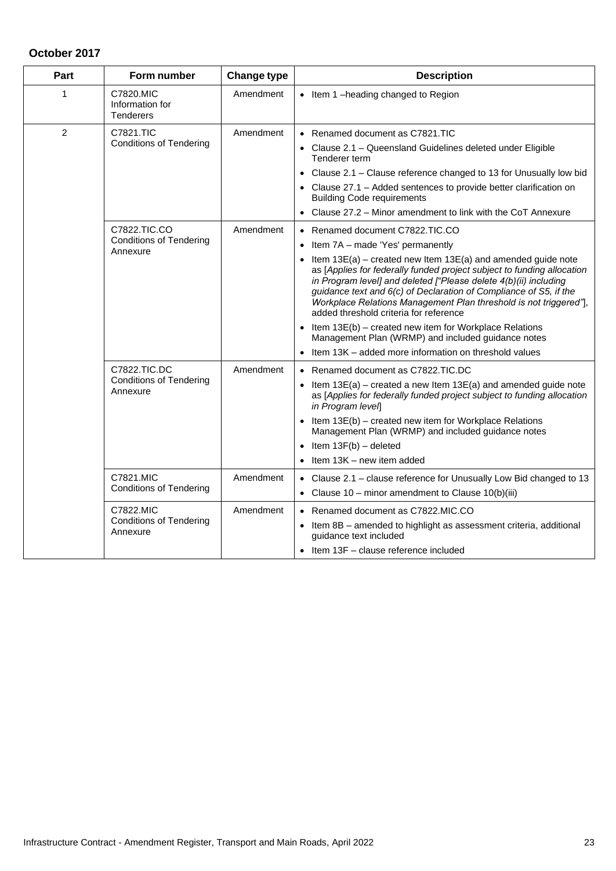### **October 2017**

| Part           | Form number                                                | <b>Change type</b> | <b>Description</b>                                                                                                                                                                                                                                                                                                                                                                                 |
|----------------|------------------------------------------------------------|--------------------|----------------------------------------------------------------------------------------------------------------------------------------------------------------------------------------------------------------------------------------------------------------------------------------------------------------------------------------------------------------------------------------------------|
| 1              | C7820.MIC<br>Information for<br><b>Tenderers</b>           | Amendment          | • Item 1 -heading changed to Region                                                                                                                                                                                                                                                                                                                                                                |
| $\overline{2}$ | C7821.TIC                                                  | Amendment          | • Renamed document as C7821.TIC                                                                                                                                                                                                                                                                                                                                                                    |
|                | <b>Conditions of Tendering</b>                             |                    | • Clause 2.1 - Queensland Guidelines deleted under Eligible<br>Tenderer term                                                                                                                                                                                                                                                                                                                       |
|                |                                                            |                    | • Clause 2.1 - Clause reference changed to 13 for Unusually low bid                                                                                                                                                                                                                                                                                                                                |
|                |                                                            |                    | • Clause 27.1 - Added sentences to provide better clarification on<br><b>Building Code requirements</b>                                                                                                                                                                                                                                                                                            |
|                |                                                            |                    | • Clause 27.2 – Minor amendment to link with the CoT Annexure                                                                                                                                                                                                                                                                                                                                      |
|                | C7822.TIC.CO                                               | Amendment          | • Renamed document C7822.TIC.CO                                                                                                                                                                                                                                                                                                                                                                    |
|                | <b>Conditions of Tendering</b><br>Annexure                 |                    | Item 7A - made 'Yes' permanently                                                                                                                                                                                                                                                                                                                                                                   |
|                |                                                            |                    | Item $13E(a)$ – created new Item $13E(a)$ and amended guide note<br>as [Applies for federally funded project subject to funding allocation<br>in Program level] and deleted ["Please delete 4(b)(ii) including<br>guidance text and 6(c) of Declaration of Compliance of S5, if the<br>Workplace Relations Management Plan threshold is not triggered"],<br>added threshold criteria for reference |
|                |                                                            |                    | Item 13E(b) – created new item for Workplace Relations<br>Management Plan (WRMP) and included guidance notes                                                                                                                                                                                                                                                                                       |
|                |                                                            |                    | Item 13K – added more information on threshold values                                                                                                                                                                                                                                                                                                                                              |
|                | C7822.TIC.DC<br><b>Conditions of Tendering</b><br>Annexure | Amendment          | • Renamed document as C7822.TIC.DC                                                                                                                                                                                                                                                                                                                                                                 |
|                |                                                            |                    | Item $13E(a)$ – created a new Item $13E(a)$ and amended guide note<br>as [Applies for federally funded project subject to funding allocation<br>in Program level                                                                                                                                                                                                                                   |
|                |                                                            |                    | • Item $13E(b)$ – created new item for Workplace Relations<br>Management Plan (WRMP) and included guidance notes                                                                                                                                                                                                                                                                                   |
|                |                                                            |                    | Item 13F(b) - deleted                                                                                                                                                                                                                                                                                                                                                                              |
|                |                                                            |                    | Item 13K - new item added                                                                                                                                                                                                                                                                                                                                                                          |
|                | C7821.MIC                                                  | Amendment          | • Clause 2.1 - clause reference for Unusually Low Bid changed to 13                                                                                                                                                                                                                                                                                                                                |
|                | <b>Conditions of Tendering</b>                             |                    | • Clause $10 -$ minor amendment to Clause $10(b)(iii)$                                                                                                                                                                                                                                                                                                                                             |
|                | C7822.MIC                                                  | Amendment          | • Renamed document as C7822.MIC.CO                                                                                                                                                                                                                                                                                                                                                                 |
|                | <b>Conditions of Tendering</b><br>Annexure                 |                    | • Item 8B - amended to highlight as assessment criteria, additional<br>guidance text included                                                                                                                                                                                                                                                                                                      |
|                |                                                            |                    | • Item 13F - clause reference included                                                                                                                                                                                                                                                                                                                                                             |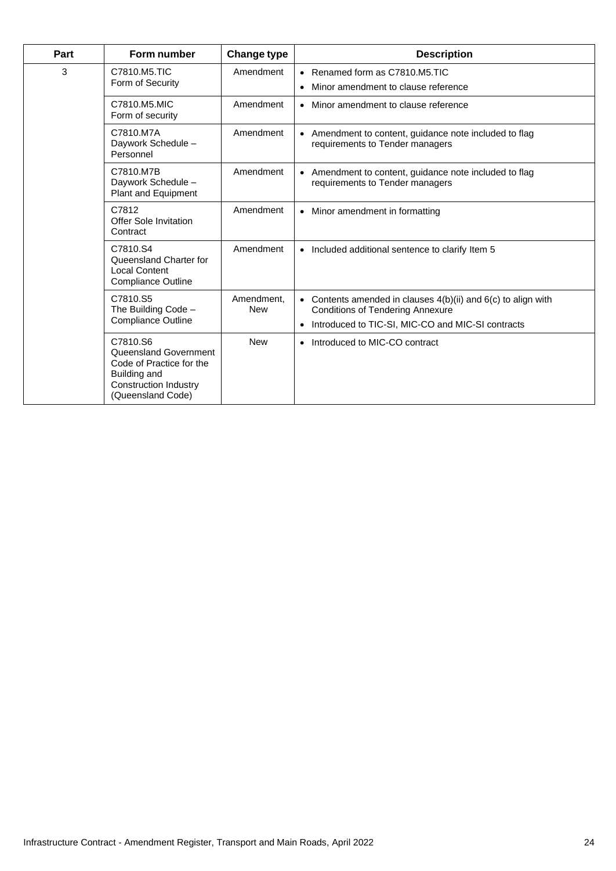| Part | Form number                                                                                                                        | Change type              | <b>Description</b>                                                                                                                                              |
|------|------------------------------------------------------------------------------------------------------------------------------------|--------------------------|-----------------------------------------------------------------------------------------------------------------------------------------------------------------|
| 3    | C7810.M5.TIC<br>Form of Security                                                                                                   | Amendment                | • Renamed form as C7810.M5.TIC<br>• Minor amendment to clause reference                                                                                         |
|      | C7810.M5.MIC<br>Form of security                                                                                                   | Amendment                | • Minor amendment to clause reference                                                                                                                           |
|      | C7810.M7A<br>Daywork Schedule -<br>Personnel                                                                                       | Amendment                | Amendment to content, guidance note included to flag<br>$\bullet$<br>requirements to Tender managers                                                            |
|      | C7810.M7B<br>Daywork Schedule -<br>Plant and Equipment                                                                             | Amendment                | Amendment to content, guidance note included to flag<br>$\bullet$<br>requirements to Tender managers                                                            |
|      | C7812<br>Offer Sole Invitation<br>Contract                                                                                         | Amendment                | • Minor amendment in formatting                                                                                                                                 |
|      | C7810.S4<br>Queensland Charter for<br><b>Local Content</b><br><b>Compliance Outline</b>                                            | Amendment                | • Included additional sentence to clarify Item 5                                                                                                                |
|      | C7810.S5<br>The Building Code -<br><b>Compliance Outline</b>                                                                       | Amendment.<br><b>New</b> | Contents amended in clauses $4(b)(ii)$ and $6(c)$ to align with<br><b>Conditions of Tendering Annexure</b><br>Introduced to TIC-SI, MIC-CO and MIC-SI contracts |
|      | C7810.S6<br>Queensland Government<br>Code of Practice for the<br>Building and<br><b>Construction Industry</b><br>(Queensland Code) | <b>New</b>               | • Introduced to MIC-CO contract                                                                                                                                 |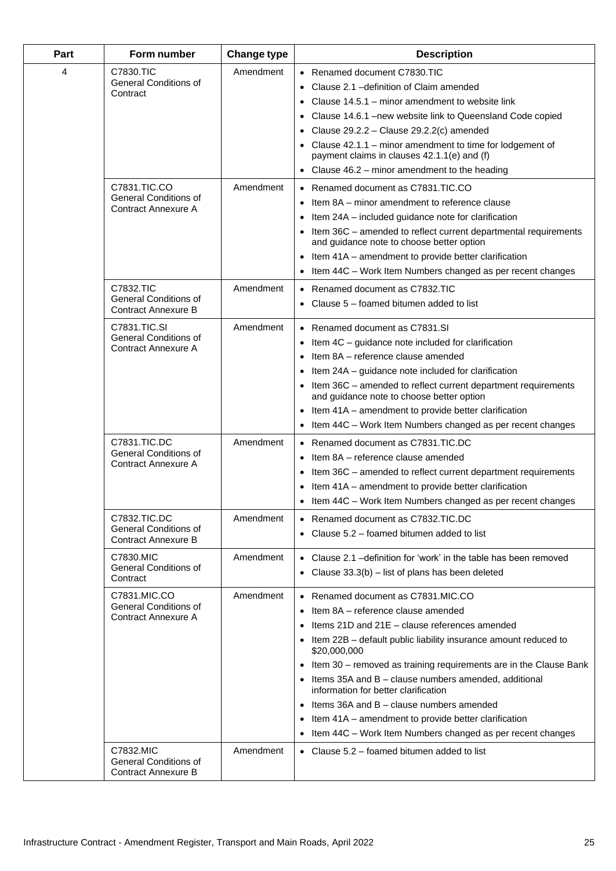| Part | Form number                                                                | <b>Change type</b> | <b>Description</b>                                                                                                                                                                                                                                                                                                                                                                                                                                                                                                                                        |
|------|----------------------------------------------------------------------------|--------------------|-----------------------------------------------------------------------------------------------------------------------------------------------------------------------------------------------------------------------------------------------------------------------------------------------------------------------------------------------------------------------------------------------------------------------------------------------------------------------------------------------------------------------------------------------------------|
| 4    | C7830.TIC<br><b>General Conditions of</b><br>Contract                      | Amendment          | • Renamed document C7830.TIC<br>Clause 2.1 - definition of Claim amended<br>Clause 14.5.1 – minor amendment to website link<br>Clause 14.6.1 -new website link to Queensland Code copied<br>Clause $29.2.2$ - Clause $29.2.2(c)$ amended<br>• Clause 42.1.1 - minor amendment to time for lodgement of<br>payment claims in clauses 42.1.1(e) and (f)<br>• Clause $46.2$ – minor amendment to the heading                                                                                                                                                 |
|      | C7831.TIC.CO<br>General Conditions of<br>Contract Annexure A               | Amendment          | • Renamed document as C7831.TIC.CO<br>Item 8A - minor amendment to reference clause<br>$\bullet$<br>Item 24A - included guidance note for clarification<br>Item 36C - amended to reflect current departmental requirements<br>and guidance note to choose better option<br>• Item 41A – amendment to provide better clarification<br>• Item 44C - Work Item Numbers changed as per recent changes                                                                                                                                                         |
|      | C7832.TIC<br><b>General Conditions of</b><br><b>Contract Annexure B</b>    | Amendment          | • Renamed document as C7832.TIC<br>Clause 5 – foamed bitumen added to list                                                                                                                                                                                                                                                                                                                                                                                                                                                                                |
|      | C7831.TIC.SI<br><b>General Conditions of</b><br><b>Contract Annexure A</b> | Amendment          | • Renamed document as C7831.SI<br>• Item 4C – guidance note included for clarification<br>Item 8A - reference clause amended<br>Item 24A - guidance note included for clarification<br>Item 36C – amended to reflect current department requirements<br>and guidance note to choose better option<br>• Item 41A – amendment to provide better clarification<br>Item 44C - Work Item Numbers changed as per recent changes                                                                                                                                 |
|      | C7831.TIC.DC<br><b>General Conditions of</b><br>Contract Annexure A        | Amendment          | • Renamed document as C7831.TIC.DC<br>Item 8A - reference clause amended<br>Item 36C - amended to reflect current department requirements<br>Item 41A - amendment to provide better clarification<br>• Item 44C - Work Item Numbers changed as per recent changes                                                                                                                                                                                                                                                                                         |
|      | C7832.TIC.DC<br>General Conditions of<br>Contract Annexure B               | Amendment          | • Renamed document as C7832.TIC.DC<br>Clause 5.2 – foamed bitumen added to list                                                                                                                                                                                                                                                                                                                                                                                                                                                                           |
|      | C7830.MIC<br><b>General Conditions of</b><br>Contract                      | Amendment          | • Clause 2.1 - definition for 'work' in the table has been removed<br>• Clause $33.3(b)$ – list of plans has been deleted                                                                                                                                                                                                                                                                                                                                                                                                                                 |
|      | C7831.MIC.CO<br>General Conditions of<br>Contract Annexure A               | Amendment          | • Renamed document as C7831.MIC.CO<br>• Item 8A - reference clause amended<br>Items 21D and 21E - clause references amended<br>Item 22B - default public liability insurance amount reduced to<br>\$20,000,000<br>• Item 30 - removed as training requirements are in the Clause Bank<br>Items 35A and B - clause numbers amended, additional<br>information for better clarification<br>Items 36A and B - clause numbers amended<br>Item 41A – amendment to provide better clarification<br>• Item 44C - Work Item Numbers changed as per recent changes |
|      | C7832.MIC<br><b>General Conditions of</b><br><b>Contract Annexure B</b>    | Amendment          | • Clause 5.2 – foamed bitumen added to list                                                                                                                                                                                                                                                                                                                                                                                                                                                                                                               |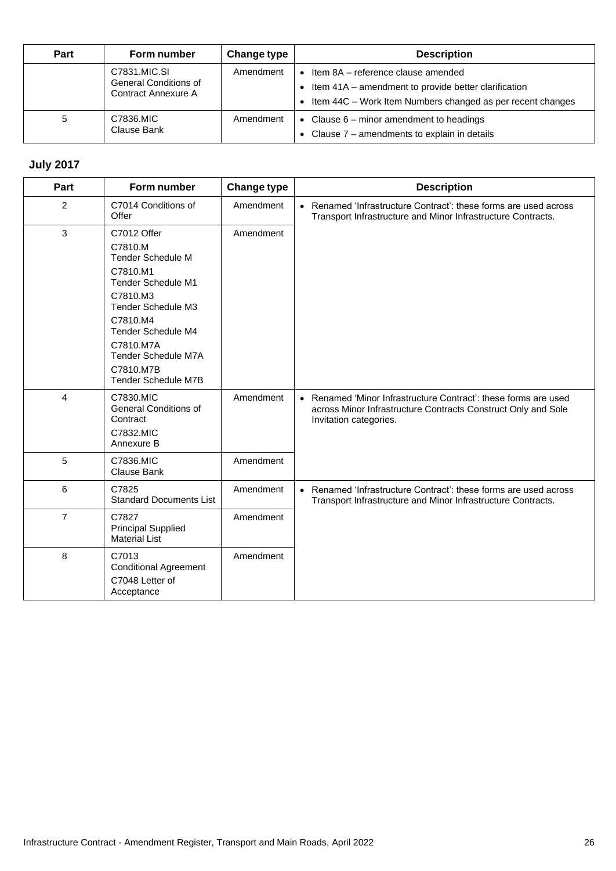| Part | Form number                                                         | Change type | <b>Description</b>                                                                                                                                                 |
|------|---------------------------------------------------------------------|-------------|--------------------------------------------------------------------------------------------------------------------------------------------------------------------|
|      | C7831.MIC.SI<br><b>General Conditions of</b><br>Contract Annexure A | Amendment   | $\bullet$ Item 8A – reference clause amended<br>Item 41A – amendment to provide better clarification<br>Item 44C - Work Item Numbers changed as per recent changes |
| 5    | C7836.MIC<br>Clause Bank                                            | Amendment   | • Clause $6$ – minor amendment to headings<br>Clause 7 – amendments to explain in details                                                                          |

| Part           | Form number                                                                                                                 | Change type | <b>Description</b>                                                                                                                                         |
|----------------|-----------------------------------------------------------------------------------------------------------------------------|-------------|------------------------------------------------------------------------------------------------------------------------------------------------------------|
| $\overline{2}$ | C7014 Conditions of<br>Offer                                                                                                | Amendment   | • Renamed 'Infrastructure Contract': these forms are used across<br>Transport Infrastructure and Minor Infrastructure Contracts.                           |
| 3              | C7012 Offer<br>C7810.M<br>Tender Schedule M<br>C7810.M1<br>Tender Schedule M1<br>C7810.M3<br>Tender Schedule M3<br>C7810.M4 | Amendment   |                                                                                                                                                            |
|                | Tender Schedule M4<br>C7810.M7A<br><b>Tender Schedule M7A</b><br>C7810.M7B<br><b>Tender Schedule M7B</b>                    |             |                                                                                                                                                            |
| $\overline{4}$ | C7830.MIC<br><b>General Conditions of</b><br>Contract<br>C7832.MIC<br>Annexure B                                            | Amendment   | • Renamed 'Minor Infrastructure Contract': these forms are used<br>across Minor Infrastructure Contracts Construct Only and Sole<br>Invitation categories. |
| 5              | C7836.MIC<br>Clause Bank                                                                                                    | Amendment   |                                                                                                                                                            |
| 6              | C7825<br><b>Standard Documents List</b>                                                                                     | Amendment   | • Renamed 'Infrastructure Contract': these forms are used across<br>Transport Infrastructure and Minor Infrastructure Contracts.                           |
| $\overline{7}$ | C7827<br><b>Principal Supplied</b><br><b>Material List</b>                                                                  | Amendment   |                                                                                                                                                            |
| 8              | C7013<br><b>Conditional Agreement</b><br>C7048 Letter of<br>Acceptance                                                      | Amendment   |                                                                                                                                                            |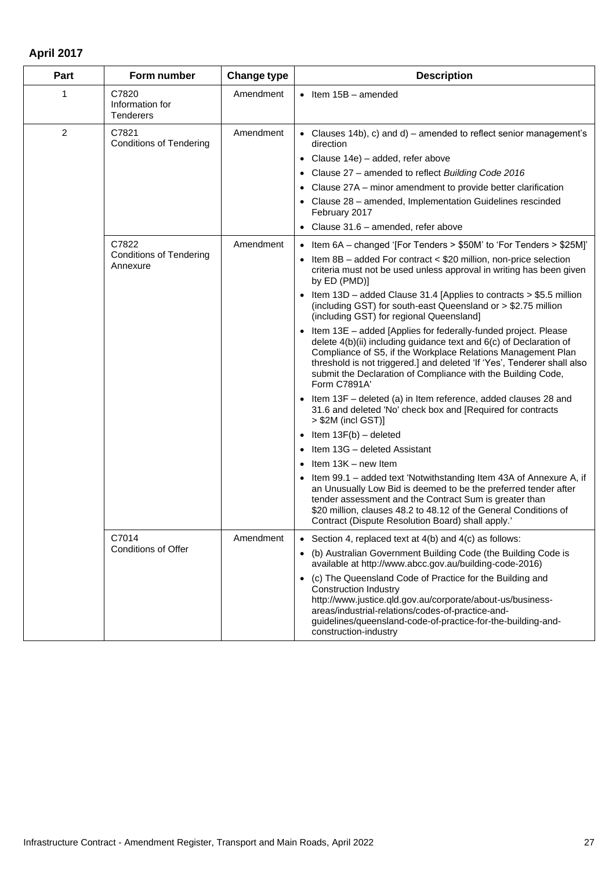## **April 2017**

| Part           | Form number                                  | Change type | <b>Description</b>                                                                                                                                                                                                                                                                                                                                                           |
|----------------|----------------------------------------------|-------------|------------------------------------------------------------------------------------------------------------------------------------------------------------------------------------------------------------------------------------------------------------------------------------------------------------------------------------------------------------------------------|
| 1              | C7820<br>Information for<br><b>Tenderers</b> | Amendment   | $\bullet$ Item 15B - amended                                                                                                                                                                                                                                                                                                                                                 |
| $\overline{2}$ | C7821<br><b>Conditions of Tendering</b>      | Amendment   | • Clauses 14b), c) and d) – amended to reflect senior management's<br>direction                                                                                                                                                                                                                                                                                              |
|                |                                              |             | • Clause 14e) - added, refer above                                                                                                                                                                                                                                                                                                                                           |
|                |                                              |             | Clause 27 – amended to reflect Building Code 2016                                                                                                                                                                                                                                                                                                                            |
|                |                                              |             | Clause 27A – minor amendment to provide better clarification                                                                                                                                                                                                                                                                                                                 |
|                |                                              |             | • Clause 28 - amended, Implementation Guidelines rescinded<br>February 2017                                                                                                                                                                                                                                                                                                  |
|                |                                              |             | • Clause 31.6 - amended, refer above                                                                                                                                                                                                                                                                                                                                         |
|                | C7822                                        | Amendment   | • Item 6A - changed '[For Tenders > \$50M' to 'For Tenders > \$25M]'                                                                                                                                                                                                                                                                                                         |
|                | <b>Conditions of Tendering</b><br>Annexure   |             | Item 8B - added For contract < \$20 million, non-price selection<br>criteria must not be used unless approval in writing has been given<br>by ED (PMD)]                                                                                                                                                                                                                      |
|                |                                              |             | • Item $13D$ – added Clause 31.4 [Applies to contracts > \$5.5 million<br>(including GST) for south-east Queensland or > \$2.75 million<br>(including GST) for regional Queensland]                                                                                                                                                                                          |
|                |                                              |             | Item 13E - added [Applies for federally-funded project. Please<br>$\bullet$<br>delete 4(b)(ii) including guidance text and 6(c) of Declaration of<br>Compliance of S5, if the Workplace Relations Management Plan<br>threshold is not triggered.] and deleted 'If 'Yes', Tenderer shall also<br>submit the Declaration of Compliance with the Building Code,<br>Form C7891A' |
|                |                                              |             | • Item 13F - deleted (a) in Item reference, added clauses 28 and<br>31.6 and deleted 'No' check box and [Required for contracts<br>> \$2M (incl GST)]                                                                                                                                                                                                                        |
|                |                                              |             | Item 13F(b) - deleted                                                                                                                                                                                                                                                                                                                                                        |
|                |                                              |             | Item 13G - deleted Assistant<br>$\bullet$                                                                                                                                                                                                                                                                                                                                    |
|                |                                              |             | Item 13K - new Item<br>$\bullet$                                                                                                                                                                                                                                                                                                                                             |
|                |                                              |             | Item 99.1 – added text 'Notwithstanding Item 43A of Annexure A, if<br>an Unusually Low Bid is deemed to be the preferred tender after<br>tender assessment and the Contract Sum is greater than<br>\$20 million, clauses 48.2 to 48.12 of the General Conditions of<br>Contract (Dispute Resolution Board) shall apply.                                                      |
|                | C7014                                        | Amendment   | • Section 4, replaced text at 4(b) and 4(c) as follows:                                                                                                                                                                                                                                                                                                                      |
|                | Conditions of Offer                          |             | (b) Australian Government Building Code (the Building Code is<br>$\bullet$<br>available at http://www.abcc.gov.au/building-code-2016)                                                                                                                                                                                                                                        |
|                |                                              |             | (c) The Queensland Code of Practice for the Building and<br>$\bullet$<br><b>Construction Industry</b><br>http://www.justice.qld.gov.au/corporate/about-us/business-<br>areas/industrial-relations/codes-of-practice-and-<br>guidelines/queensland-code-of-practice-for-the-building-and-<br>construction-industry                                                            |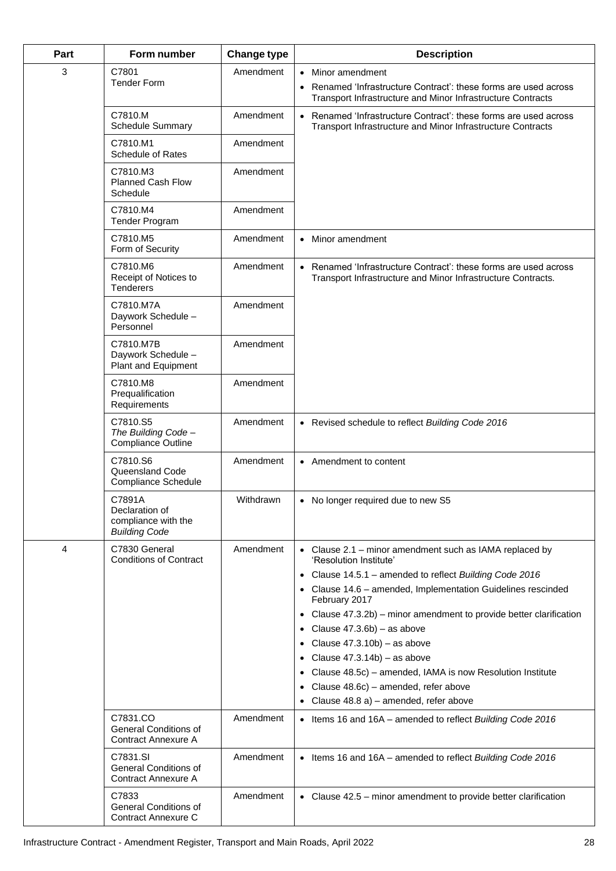| Part | Form number                                                             | Change type | <b>Description</b>                                                                                                                                   |
|------|-------------------------------------------------------------------------|-------------|------------------------------------------------------------------------------------------------------------------------------------------------------|
| 3    | C7801<br><b>Tender Form</b>                                             | Amendment   | • Minor amendment<br>• Renamed 'Infrastructure Contract': these forms are used across<br>Transport Infrastructure and Minor Infrastructure Contracts |
|      | C7810.M<br><b>Schedule Summary</b>                                      | Amendment   | • Renamed 'Infrastructure Contract': these forms are used across<br>Transport Infrastructure and Minor Infrastructure Contracts                      |
|      | C7810.M1<br><b>Schedule of Rates</b>                                    | Amendment   |                                                                                                                                                      |
|      | C7810.M3<br><b>Planned Cash Flow</b><br>Schedule                        | Amendment   |                                                                                                                                                      |
|      | C7810.M4<br><b>Tender Program</b>                                       | Amendment   |                                                                                                                                                      |
|      | C7810.M5<br>Form of Security                                            | Amendment   | • Minor amendment                                                                                                                                    |
|      | C7810.M6<br>Receipt of Notices to<br><b>Tenderers</b>                   | Amendment   | • Renamed 'Infrastructure Contract': these forms are used across<br>Transport Infrastructure and Minor Infrastructure Contracts.                     |
|      | C7810.M7A<br>Daywork Schedule -<br>Personnel                            | Amendment   |                                                                                                                                                      |
|      | C7810.M7B<br>Daywork Schedule -<br>Plant and Equipment                  | Amendment   |                                                                                                                                                      |
|      | C7810.M8<br>Prequalification<br>Requirements                            | Amendment   |                                                                                                                                                      |
|      | C7810.S5<br>The Building Code -<br><b>Compliance Outline</b>            | Amendment   | • Revised schedule to reflect Building Code 2016                                                                                                     |
|      | C7810.S6<br>Queensland Code<br>Compliance Schedule                      | Amendment   | • Amendment to content                                                                                                                               |
|      | C7891A<br>Declaration of<br>compliance with the<br><b>Building Code</b> | Withdrawn   | • No longer required due to new S5                                                                                                                   |
| 4    | C7830 General<br><b>Conditions of Contract</b>                          | Amendment   | • Clause 2.1 - minor amendment such as IAMA replaced by<br>'Resolution Institute'                                                                    |
|      |                                                                         |             | • Clause 14.5.1 - amended to reflect Building Code 2016<br>• Clause 14.6 - amended, Implementation Guidelines rescinded<br>February 2017             |
|      |                                                                         |             | • Clause 47.3.2b) - minor amendment to provide better clarification                                                                                  |
|      |                                                                         |             | • Clause $47.3.6b$ ) – as above<br>Clause $47.3.10b$ ) – as above                                                                                    |
|      |                                                                         |             | • Clause $47.3.14b$ ) – as above                                                                                                                     |
|      |                                                                         |             | • Clause 48.5c) - amended, IAMA is now Resolution Institute                                                                                          |
|      |                                                                         |             | Clause 48.6c) - amended, refer above                                                                                                                 |
|      |                                                                         |             | • Clause $48.8$ a) – amended, refer above                                                                                                            |
|      | C7831.CO<br><b>General Conditions of</b><br><b>Contract Annexure A</b>  | Amendment   | • Items 16 and 16A - amended to reflect Building Code 2016                                                                                           |
|      | C7831.SI<br><b>General Conditions of</b><br>Contract Annexure A         | Amendment   | • Items 16 and 16A - amended to reflect Building Code 2016                                                                                           |
|      | C7833<br><b>General Conditions of</b><br>Contract Annexure C            | Amendment   | • Clause 42.5 - minor amendment to provide better clarification                                                                                      |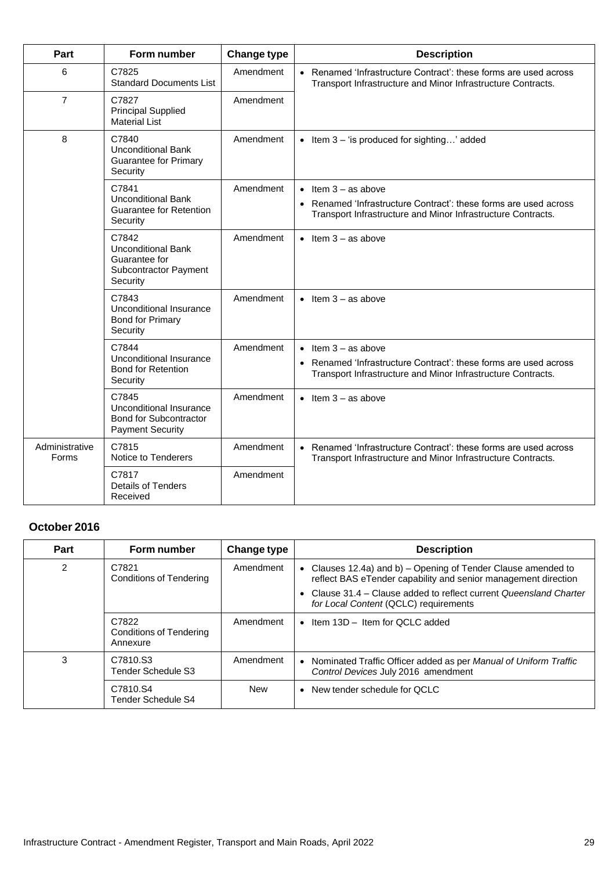| Part                    | Form number                                                                                  | <b>Change type</b> | <b>Description</b>                                                                                                                                                         |
|-------------------------|----------------------------------------------------------------------------------------------|--------------------|----------------------------------------------------------------------------------------------------------------------------------------------------------------------------|
| 6                       | C7825<br><b>Standard Documents List</b>                                                      | Amendment          | • Renamed 'Infrastructure Contract': these forms are used across<br>Transport Infrastructure and Minor Infrastructure Contracts.                                           |
| $\overline{7}$          | C7827<br><b>Principal Supplied</b><br><b>Material List</b>                                   | Amendment          |                                                                                                                                                                            |
| 8                       | C7840<br><b>Unconditional Bank</b><br><b>Guarantee for Primary</b><br>Security               | Amendment          | $\bullet$ Item 3 - 'is produced for sighting' added                                                                                                                        |
|                         | C7841<br><b>Unconditional Bank</b><br><b>Guarantee for Retention</b><br>Security             | Amendment          | $\bullet$ Item 3 – as above<br>Renamed 'Infrastructure Contract': these forms are used across<br>$\bullet$<br>Transport Infrastructure and Minor Infrastructure Contracts. |
|                         | C7842<br><b>Unconditional Bank</b><br>Guarantee for<br>Subcontractor Payment<br>Security     | Amendment          | $\bullet$ Item 3 – as above                                                                                                                                                |
|                         | C7843<br>Unconditional Insurance<br><b>Bond for Primary</b><br>Security                      | Amendment          | $\bullet$ Item 3 – as above                                                                                                                                                |
|                         | C7844<br>Unconditional Insurance<br><b>Bond for Retention</b><br>Security                    | Amendment          | $\bullet$ Item 3 – as above<br>Renamed 'Infrastructure Contract': these forms are used across<br>$\bullet$<br>Transport Infrastructure and Minor Infrastructure Contracts. |
|                         | C7845<br>Unconditional Insurance<br><b>Bond for Subcontractor</b><br><b>Payment Security</b> | Amendment          | $\bullet$ Item 3 - as above                                                                                                                                                |
| Administrative<br>Forms | C7815<br>Notice to Tenderers                                                                 | Amendment          | • Renamed 'Infrastructure Contract': these forms are used across<br>Transport Infrastructure and Minor Infrastructure Contracts.                                           |
|                         | C7817<br><b>Details of Tenders</b><br>Received                                               | Amendment          |                                                                                                                                                                            |

#### **October 2016**

| Part           | Form number                                  | Change type | <b>Description</b>                                                                                                              |
|----------------|----------------------------------------------|-------------|---------------------------------------------------------------------------------------------------------------------------------|
| $\overline{2}$ | C7821<br>Conditions of Tendering             | Amendment   | • Clauses 12.4a) and b) - Opening of Tender Clause amended to<br>reflect BAS eTender capability and senior management direction |
|                |                                              |             | • Clause 31.4 – Clause added to reflect current Queensland Charter<br>for Local Content (QCLC) requirements                     |
|                | C7822<br>Conditions of Tendering<br>Annexure | Amendment   | $\bullet$ Item 13D - Item for QCLC added                                                                                        |
| 3              | C7810.S3<br>Tender Schedule S3               | Amendment   | Nominated Traffic Officer added as per Manual of Uniform Traffic<br>$\bullet$<br>Control Devices July 2016 amendment            |
|                | C7810.S4<br>Tender Schedule S4               | <b>New</b>  | • New tender schedule for QCLC                                                                                                  |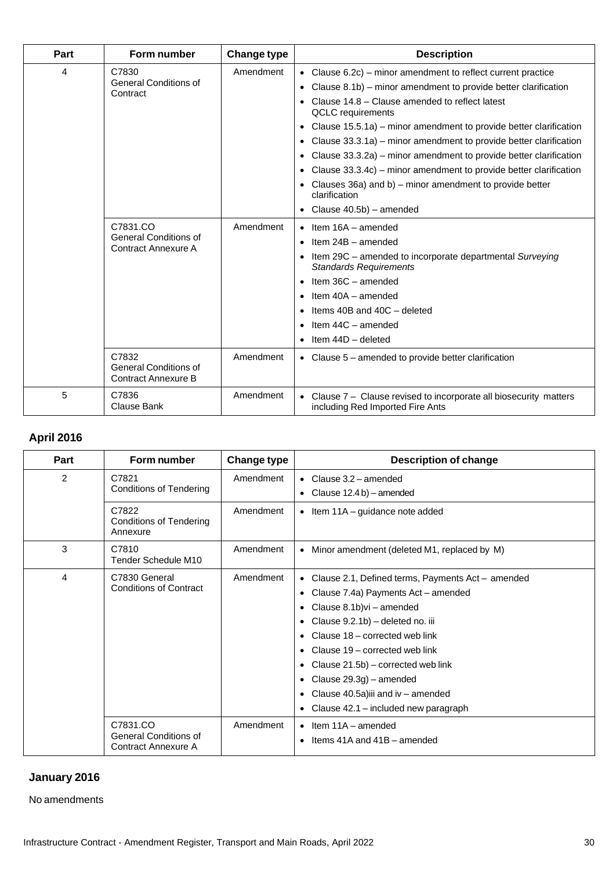| Part | Form number                                                         | Change type | <b>Description</b>                                                                                     |
|------|---------------------------------------------------------------------|-------------|--------------------------------------------------------------------------------------------------------|
| 4    | C7830                                                               | Amendment   | • Clause 6.2c) – minor amendment to reflect current practice                                           |
|      | <b>General Conditions of</b><br>Contract                            |             | • Clause $8.1b$ ) – minor amendment to provide better clarification                                    |
|      |                                                                     |             | Clause 14.8 – Clause amended to reflect latest<br>QCLC requirements                                    |
|      |                                                                     |             | Clause 15.5.1a) – minor amendment to provide better clarification                                      |
|      |                                                                     |             | Clause 33.3.1a) – minor amendment to provide better clarification                                      |
|      |                                                                     |             | Clause 33.3.2a) – minor amendment to provide better clarification                                      |
|      |                                                                     |             | Clause 33.3.4c) – minor amendment to provide better clarification                                      |
|      |                                                                     |             | Clauses 36a) and b) – minor amendment to provide better<br>clarification                               |
|      |                                                                     |             | • Clause $40.5b$ ) – amended                                                                           |
|      | C7831.CO                                                            | Amendment   | $\bullet$ Item 16A - amended                                                                           |
|      | <b>General Conditions of</b><br>Contract Annexure A                 |             | Item 24B - amended<br>$\bullet$                                                                        |
|      |                                                                     |             | Item 29C – amended to incorporate departmental Surveying<br>$\bullet$<br><b>Standards Requirements</b> |
|      |                                                                     |             | Item $36C -$ amended                                                                                   |
|      |                                                                     |             | Item 40A - amended                                                                                     |
|      |                                                                     |             | Items 40B and 40C - deleted                                                                            |
|      |                                                                     |             | Item 44C - amended                                                                                     |
|      |                                                                     |             | Item 44D - deleted                                                                                     |
|      | C7832<br><b>General Conditions of</b><br><b>Contract Annexure B</b> | Amendment   | • Clause 5 – amended to provide better clarification                                                   |
| 5    | C7836<br><b>Clause Bank</b>                                         | Amendment   | • Clause 7 - Clause revised to incorporate all biosecurity matters<br>including Red Imported Fire Ants |

## **April 2016**

| <b>Part</b> | Form number                                                     | <b>Change type</b> | <b>Description of change</b>                                                                                                                                                                                                                                                                                                                                                                                                                                             |
|-------------|-----------------------------------------------------------------|--------------------|--------------------------------------------------------------------------------------------------------------------------------------------------------------------------------------------------------------------------------------------------------------------------------------------------------------------------------------------------------------------------------------------------------------------------------------------------------------------------|
| 2           | C7821<br><b>Conditions of Tendering</b>                         | Amendment          | • Clause $3.2$ – amended<br>Clause 12.4 b) - amended<br>$\bullet$                                                                                                                                                                                                                                                                                                                                                                                                        |
|             | C7822<br><b>Conditions of Tendering</b><br>Annexure             | Amendment          | $\bullet$ Item 11A – guidance note added                                                                                                                                                                                                                                                                                                                                                                                                                                 |
| 3           | C7810<br>Tender Schedule M10                                    | Amendment          | • Minor amendment (deleted M1, replaced by M)                                                                                                                                                                                                                                                                                                                                                                                                                            |
| 4           | C7830 General<br><b>Conditions of Contract</b>                  | Amendment          | Clause 2.1, Defined terms, Payments Act – amended<br>$\bullet$<br>Clause 7.4a) Payments Act – amended<br>$\bullet$<br>Clause 8.1b) vi - amended<br>$\bullet$<br>Clause 9.2.1b) - deleted no. iii<br>$\bullet$<br>Clause 18 - corrected web link<br>Clause 19 – corrected web link<br>$\bullet$<br>Clause 21.5b) – corrected web link<br>٠<br>Clause 29.3g) – amended<br>٠<br>Clause 40.5a)iii and iv - amended<br>٠<br>Clause 42.1 - included new paragraph<br>$\bullet$ |
|             | C7831.CO<br><b>General Conditions of</b><br>Contract Annexure A | Amendment          | $\bullet$ Item 11A - amended<br>Items 41A and 41B - amended<br>$\bullet$                                                                                                                                                                                                                                                                                                                                                                                                 |

## **January 2016**

No amendments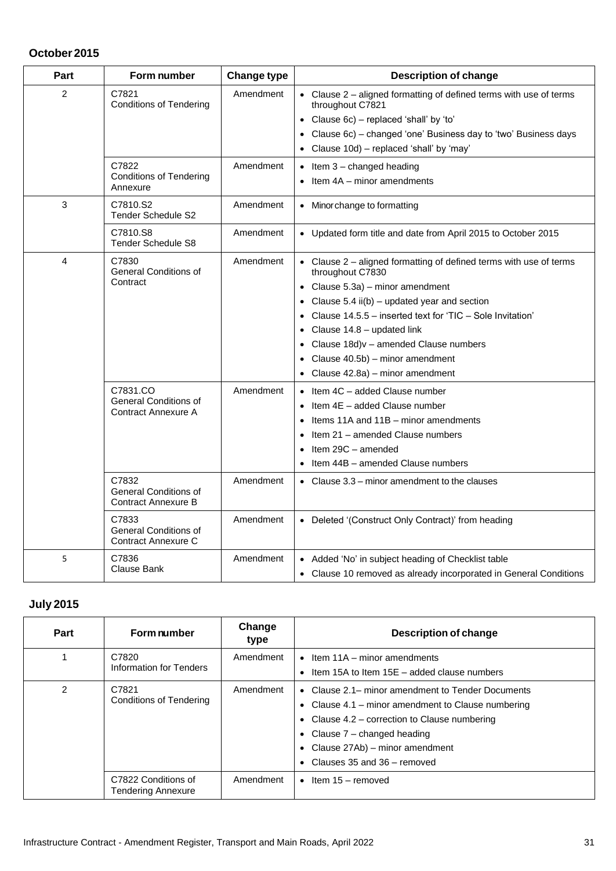### **October 2015**

| Part | Form number                                                     | <b>Change type</b> | <b>Description of change</b>                                                                                                                                                                                                                                                                                                                                                                  |
|------|-----------------------------------------------------------------|--------------------|-----------------------------------------------------------------------------------------------------------------------------------------------------------------------------------------------------------------------------------------------------------------------------------------------------------------------------------------------------------------------------------------------|
| 2    | C7821<br><b>Conditions of Tendering</b>                         | Amendment          | • Clause 2 - aligned formatting of defined terms with use of terms<br>throughout C7821<br>• Clause 6c) - replaced 'shall' by 'to'<br>Clause 6c) - changed 'one' Business day to 'two' Business days<br>Clause 10d) - replaced 'shall' by 'may'                                                                                                                                                |
|      | C7822<br><b>Conditions of Tendering</b><br>Annexure             | Amendment          | $\bullet$ Item 3 - changed heading<br>$\bullet$ Item 4A - minor amendments                                                                                                                                                                                                                                                                                                                    |
| 3    | C7810.S2<br><b>Tender Schedule S2</b>                           | Amendment          | • Minor change to formatting                                                                                                                                                                                                                                                                                                                                                                  |
|      | C7810.S8<br><b>Tender Schedule S8</b>                           | Amendment          | • Updated form title and date from April 2015 to October 2015                                                                                                                                                                                                                                                                                                                                 |
| 4    | C7830<br><b>General Conditions of</b><br>Contract               | Amendment          | • Clause 2 – aligned formatting of defined terms with use of terms<br>throughout C7830<br>• Clause $5.3a$ ) – minor amendment<br>• Clause 5.4 $ii(b)$ – updated year and section<br>Clause 14.5.5 – inserted text for 'TIC – Sole Invitation'<br>• Clause 14.8 - updated link<br>Clause 18d) v - amended Clause numbers<br>Clause 40.5b) - minor amendment<br>Clause 42.8a) - minor amendment |
|      | C7831.CO<br><b>General Conditions of</b><br>Contract Annexure A | Amendment          | $\bullet$ Item 4C – added Clause number<br>Item 4E - added Clause number<br>Items 11A and 11B – minor amendments<br>Item 21 - amended Clause numbers<br>Item 29C - amended<br>Item 44B - amended Clause numbers                                                                                                                                                                               |
|      | C7832<br><b>General Conditions of</b><br>Contract Annexure B    | Amendment          | • Clause $3.3$ – minor amendment to the clauses                                                                                                                                                                                                                                                                                                                                               |
|      | C7833<br>General Conditions of<br><b>Contract Annexure C</b>    | Amendment          | • Deleted '(Construct Only Contract)' from heading                                                                                                                                                                                                                                                                                                                                            |
| 5    | C7836<br><b>Clause Bank</b>                                     | Amendment          | • Added 'No' in subject heading of Checklist table<br>• Clause 10 removed as already incorporated in General Conditions                                                                                                                                                                                                                                                                       |

| Part           | Form number                                      | Change<br>type | Description of change                                                                                                                                                                                                                                           |
|----------------|--------------------------------------------------|----------------|-----------------------------------------------------------------------------------------------------------------------------------------------------------------------------------------------------------------------------------------------------------------|
|                | C7820<br>Information for Tenders                 | Amendment      | $\bullet$ Item 11A – minor amendments<br>Item 15A to Item 15E – added clause numbers                                                                                                                                                                            |
| $\overline{2}$ | C7821<br><b>Conditions of Tendering</b>          | Amendment      | • Clause 2.1– minor amendment to Tender Documents<br>• Clause $4.1$ – minor amendment to Clause numbering<br>• Clause $4.2$ – correction to Clause numbering<br>• Clause $7$ – changed heading<br>Clause 27Ab) - minor amendment<br>Clauses 35 and 36 - removed |
|                | C7822 Conditions of<br><b>Tendering Annexure</b> | Amendment      | $\bullet$ Item 15 – removed                                                                                                                                                                                                                                     |